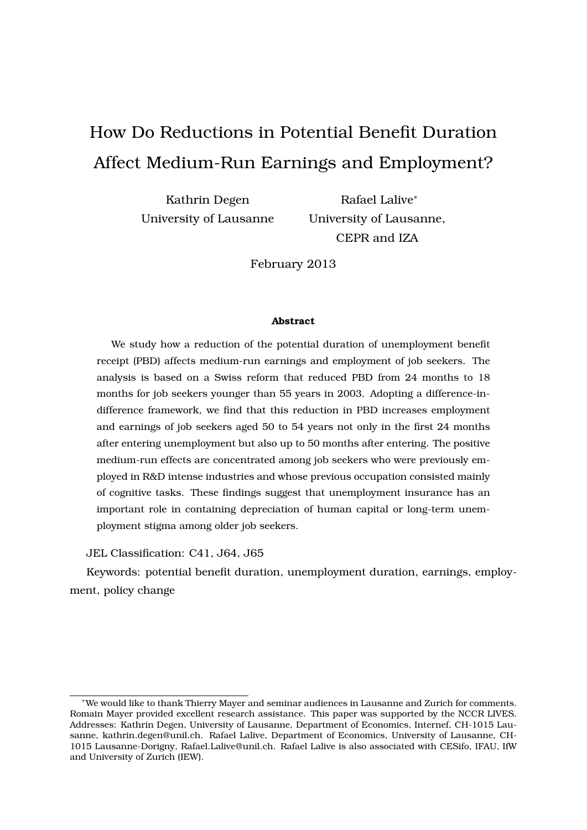# How Do Reductions in Potential Benefit Duration Affect Medium-Run Earnings and Employment?

Kathrin Degen University of Lausanne

Rafael Lalive*<sup>∗</sup>* University of Lausanne, CEPR and IZA

February 2013

#### **Abstract**

We study how a reduction of the potential duration of unemployment benefit receipt (PBD) affects medium-run earnings and employment of job seekers. The analysis is based on a Swiss reform that reduced PBD from 24 months to 18 months for job seekers younger than 55 years in 2003. Adopting a difference-indifference framework, we find that this reduction in PBD increases employment and earnings of job seekers aged 50 to 54 years not only in the first 24 months after entering unemployment but also up to 50 months after entering. The positive medium-run effects are concentrated among job seekers who were previously employed in R&D intense industries and whose previous occupation consisted mainly of cognitive tasks. These findings suggest that unemployment insurance has an important role in containing depreciation of human capital or long-term unemployment stigma among older job seekers.

JEL Classification: C41, J64, J65

Keywords: potential benefit duration, unemployment duration, earnings, employment, policy change

*<sup>∗</sup>*We would like to thank Thierry Mayer and seminar audiences in Lausanne and Zurich for comments. Romain Mayer provided excellent research assistance. This paper was supported by the NCCR LIVES. Addresses: Kathrin Degen, University of Lausanne, Department of Economics, Internef, CH-1015 Lausanne, kathrin.degen@unil.ch. Rafael Lalive, Department of Economics, University of Lausanne, CH-1015 Lausanne-Dorigny, Rafael.Lalive@unil.ch. Rafael Lalive is also associated with CESifo, IFAU, IfW and University of Zurich (IEW).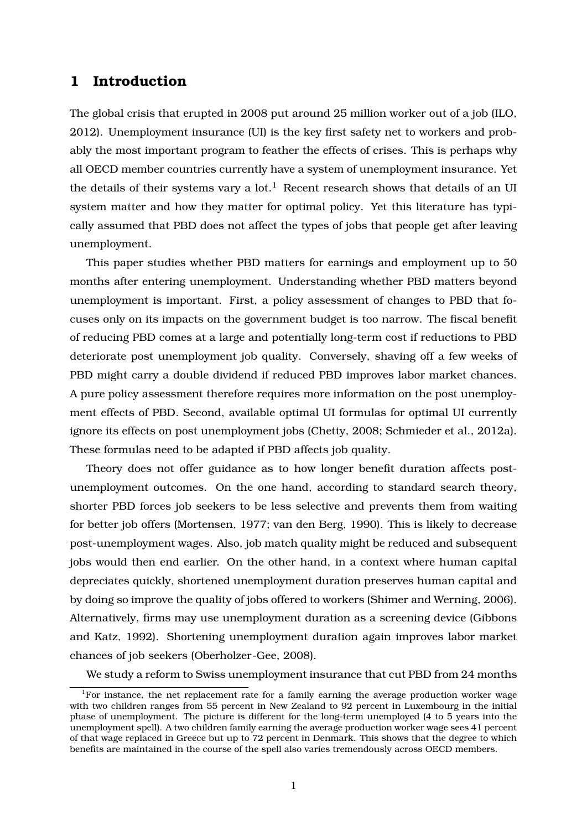# **1 Introduction**

The global crisis that erupted in 2008 put around 25 million worker out of a job (ILO, 2012). Unemployment insurance (UI) is the key first safety net to workers and probably the most important program to feather the effects of crises. This is perhaps why all OECD member countries currently have a system of unemployment insurance. Yet the details of their systems vary a lot.<sup>1</sup> Recent research shows that details of an UI system matter and how they matter for optimal policy. Yet this literature has typically assumed that PBD does not affect the types of jobs that people get after leaving unemployment.

This paper studies whether PBD matters for earnings and employment up to 50 months after entering unemployment. Understanding whether PBD matters beyond unemployment is important. First, a policy assessment of changes to PBD that focuses only on its impacts on the government budget is too narrow. The fiscal benefit of reducing PBD comes at a large and potentially long-term cost if reductions to PBD deteriorate post unemployment job quality. Conversely, shaving off a few weeks of PBD might carry a double dividend if reduced PBD improves labor market chances. A pure policy assessment therefore requires more information on the post unemployment effects of PBD. Second, available optimal UI formulas for optimal UI currently ignore its effects on post unemployment jobs (Chetty, 2008; Schmieder et al., 2012a). These formulas need to be adapted if PBD affects job quality.

Theory does not offer guidance as to how longer benefit duration affects postunemployment outcomes. On the one hand, according to standard search theory, shorter PBD forces job seekers to be less selective and prevents them from waiting for better job offers (Mortensen, 1977; van den Berg, 1990). This is likely to decrease post-unemployment wages. Also, job match quality might be reduced and subsequent jobs would then end earlier. On the other hand, in a context where human capital depreciates quickly, shortened unemployment duration preserves human capital and by doing so improve the quality of jobs offered to workers (Shimer and Werning, 2006). Alternatively, firms may use unemployment duration as a screening device (Gibbons and Katz, 1992). Shortening unemployment duration again improves labor market chances of job seekers (Oberholzer-Gee, 2008).

We study a reform to Swiss unemployment insurance that cut PBD from 24 months

<sup>&</sup>lt;sup>1</sup>For instance, the net replacement rate for a family earning the average production worker wage with two children ranges from 55 percent in New Zealand to 92 percent in Luxembourg in the initial phase of unemployment. The picture is different for the long-term unemployed (4 to 5 years into the unemployment spell). A two children family earning the average production worker wage sees 41 percent of that wage replaced in Greece but up to 72 percent in Denmark. This shows that the degree to which benefits are maintained in the course of the spell also varies tremendously across OECD members.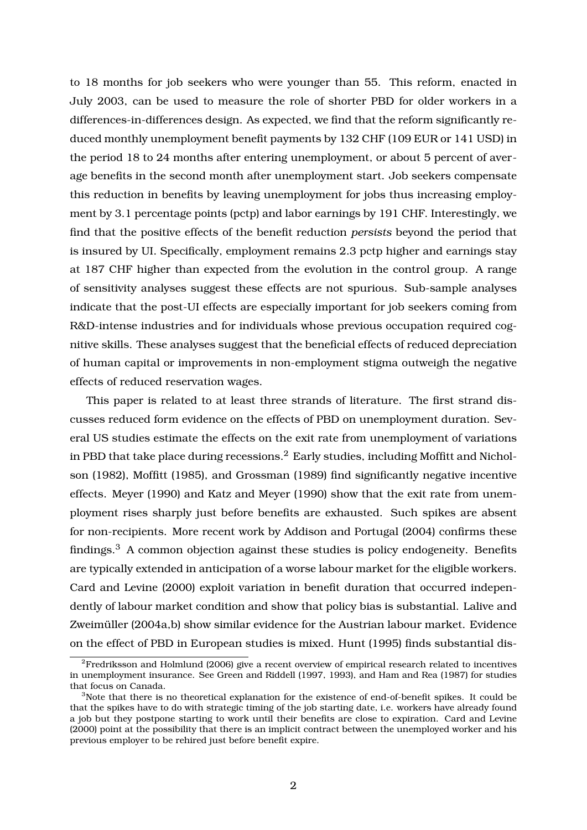to 18 months for job seekers who were younger than 55. This reform, enacted in July 2003, can be used to measure the role of shorter PBD for older workers in a differences-in-differences design. As expected, we find that the reform significantly reduced monthly unemployment benefit payments by 132 CHF (109 EUR or 141 USD) in the period 18 to 24 months after entering unemployment, or about 5 percent of average benefits in the second month after unemployment start. Job seekers compensate this reduction in benefits by leaving unemployment for jobs thus increasing employment by 3.1 percentage points (pctp) and labor earnings by 191 CHF. Interestingly, we find that the positive effects of the benefit reduction *persists* beyond the period that is insured by UI. Specifically, employment remains 2.3 pctp higher and earnings stay at 187 CHF higher than expected from the evolution in the control group. A range of sensitivity analyses suggest these effects are not spurious. Sub-sample analyses indicate that the post-UI effects are especially important for job seekers coming from R&D-intense industries and for individuals whose previous occupation required cognitive skills. These analyses suggest that the beneficial effects of reduced depreciation of human capital or improvements in non-employment stigma outweigh the negative effects of reduced reservation wages.

This paper is related to at least three strands of literature. The first strand discusses reduced form evidence on the effects of PBD on unemployment duration. Several US studies estimate the effects on the exit rate from unemployment of variations in PBD that take place during recessions.<sup>2</sup> Early studies, including Moffitt and Nicholson (1982), Moffitt (1985), and Grossman (1989) find significantly negative incentive effects. Meyer (1990) and Katz and Meyer (1990) show that the exit rate from unemployment rises sharply just before benefits are exhausted. Such spikes are absent for non-recipients. More recent work by Addison and Portugal (2004) confirms these findings.<sup>3</sup> A common objection against these studies is policy endogeneity. Benefits are typically extended in anticipation of a worse labour market for the eligible workers. Card and Levine (2000) exploit variation in benefit duration that occurred independently of labour market condition and show that policy bias is substantial. Lalive and Zweimüller (2004a,b) show similar evidence for the Austrian labour market. Evidence on the effect of PBD in European studies is mixed. Hunt (1995) finds substantial dis-

 ${}^{2}$ Fredriksson and Holmlund (2006) give a recent overview of empirical research related to incentives in unemployment insurance. See Green and Riddell (1997, 1993), and Ham and Rea (1987) for studies that focus on Canada.

<sup>&</sup>lt;sup>3</sup>Note that there is no theoretical explanation for the existence of end-of-benefit spikes. It could be that the spikes have to do with strategic timing of the job starting date, i.e. workers have already found a job but they postpone starting to work until their benefits are close to expiration. Card and Levine (2000) point at the possibility that there is an implicit contract between the unemployed worker and his previous employer to be rehired just before benefit expire.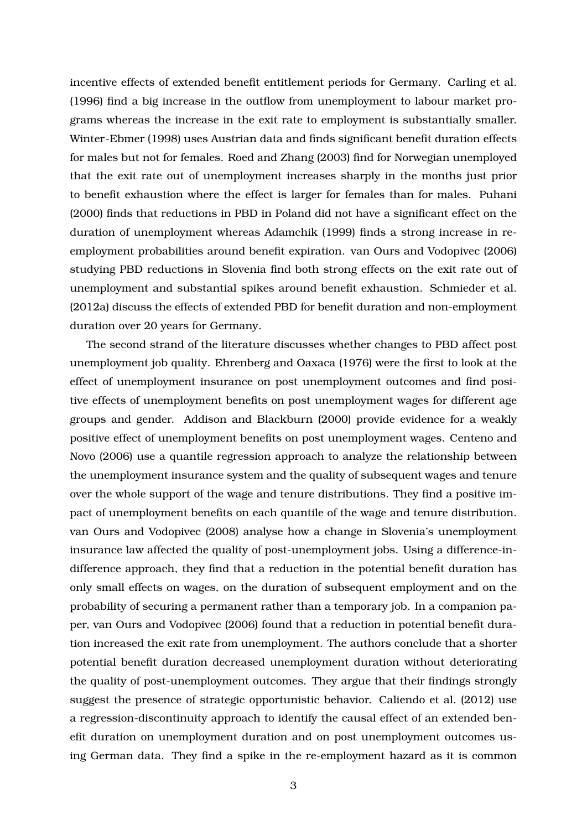incentive effects of extended benefit entitlement periods for Germany. Carling et al. (1996) find a big increase in the outflow from unemployment to labour market programs whereas the increase in the exit rate to employment is substantially smaller. Winter-Ebmer (1998) uses Austrian data and finds significant benefit duration effects for males but not for females. Roed and Zhang (2003) find for Norwegian unemployed that the exit rate out of unemployment increases sharply in the months just prior to benefit exhaustion where the effect is larger for females than for males. Puhani (2000) finds that reductions in PBD in Poland did not have a significant effect on the duration of unemployment whereas Adamchik (1999) finds a strong increase in reemployment probabilities around benefit expiration. van Ours and Vodopivec (2006) studying PBD reductions in Slovenia find both strong effects on the exit rate out of unemployment and substantial spikes around benefit exhaustion. Schmieder et al. (2012a) discuss the effects of extended PBD for benefit duration and non-employment duration over 20 years for Germany.

The second strand of the literature discusses whether changes to PBD affect post unemployment job quality. Ehrenberg and Oaxaca (1976) were the first to look at the effect of unemployment insurance on post unemployment outcomes and find positive effects of unemployment benefits on post unemployment wages for different age groups and gender. Addison and Blackburn (2000) provide evidence for a weakly positive effect of unemployment benefits on post unemployment wages. Centeno and Novo (2006) use a quantile regression approach to analyze the relationship between the unemployment insurance system and the quality of subsequent wages and tenure over the whole support of the wage and tenure distributions. They find a positive impact of unemployment benefits on each quantile of the wage and tenure distribution. van Ours and Vodopivec (2008) analyse how a change in Slovenia's unemployment insurance law affected the quality of post-unemployment jobs. Using a difference-indifference approach, they find that a reduction in the potential benefit duration has only small effects on wages, on the duration of subsequent employment and on the probability of securing a permanent rather than a temporary job. In a companion paper, van Ours and Vodopivec (2006) found that a reduction in potential benefit duration increased the exit rate from unemployment. The authors conclude that a shorter potential benefit duration decreased unemployment duration without deteriorating the quality of post-unemployment outcomes. They argue that their findings strongly suggest the presence of strategic opportunistic behavior. Caliendo et al. (2012) use a regression-discontinuity approach to identify the causal effect of an extended benefit duration on unemployment duration and on post unemployment outcomes using German data. They find a spike in the re-employment hazard as it is common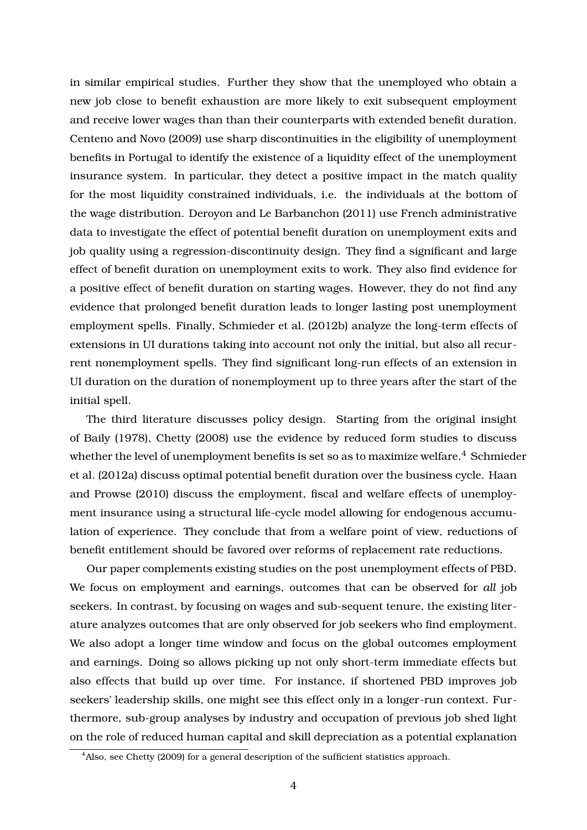in similar empirical studies. Further they show that the unemployed who obtain a new job close to benefit exhaustion are more likely to exit subsequent employment and receive lower wages than than their counterparts with extended benefit duration. Centeno and Novo (2009) use sharp discontinuities in the eligibility of unemployment benefits in Portugal to identify the existence of a liquidity effect of the unemployment insurance system. In particular, they detect a positive impact in the match quality for the most liquidity constrained individuals, i.e. the individuals at the bottom of the wage distribution. Deroyon and Le Barbanchon (2011) use French administrative data to investigate the effect of potential benefit duration on unemployment exits and job quality using a regression-discontinuity design. They find a significant and large effect of benefit duration on unemployment exits to work. They also find evidence for a positive effect of benefit duration on starting wages. However, they do not find any evidence that prolonged benefit duration leads to longer lasting post unemployment employment spells. Finally, Schmieder et al. (2012b) analyze the long-term effects of extensions in UI durations taking into account not only the initial, but also all recurrent nonemployment spells. They find significant long-run effects of an extension in UI duration on the duration of nonemployment up to three years after the start of the initial spell.

The third literature discusses policy design. Starting from the original insight of Baily (1978), Chetty (2008) use the evidence by reduced form studies to discuss whether the level of unemployment benefits is set so as to maximize welfare.<sup>4</sup> Schmieder et al. (2012a) discuss optimal potential benefit duration over the business cycle. Haan and Prowse (2010) discuss the employment, fiscal and welfare effects of unemployment insurance using a structural life-cycle model allowing for endogenous accumulation of experience. They conclude that from a welfare point of view, reductions of benefit entitlement should be favored over reforms of replacement rate reductions.

Our paper complements existing studies on the post unemployment effects of PBD. We focus on employment and earnings, outcomes that can be observed for *all* job seekers. In contrast, by focusing on wages and sub-sequent tenure, the existing literature analyzes outcomes that are only observed for job seekers who find employment. We also adopt a longer time window and focus on the global outcomes employment and earnings. Doing so allows picking up not only short-term immediate effects but also effects that build up over time. For instance, if shortened PBD improves job seekers' leadership skills, one might see this effect only in a longer-run context. Furthermore, sub-group analyses by industry and occupation of previous job shed light on the role of reduced human capital and skill depreciation as a potential explanation

<sup>&</sup>lt;sup>4</sup>Also, see Chetty (2009) for a general description of the sufficient statistics approach.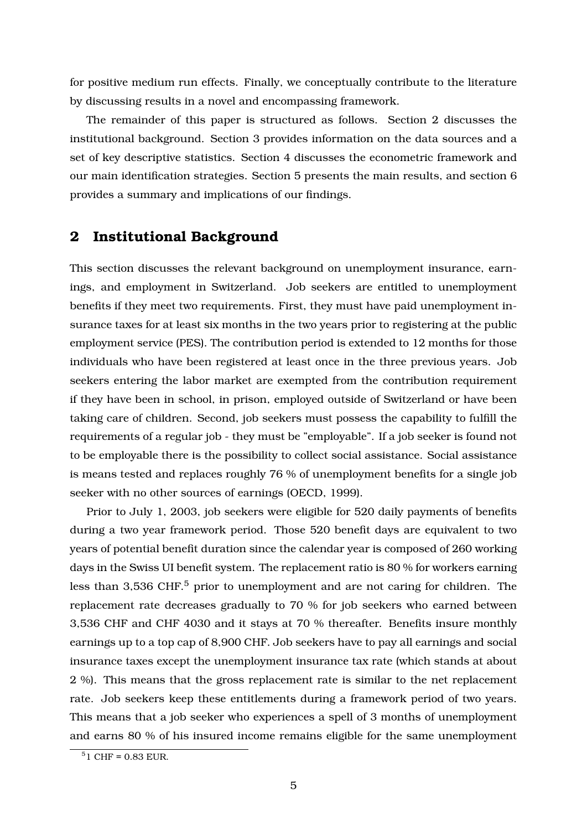for positive medium run effects. Finally, we conceptually contribute to the literature by discussing results in a novel and encompassing framework.

The remainder of this paper is structured as follows. Section 2 discusses the institutional background. Section 3 provides information on the data sources and a set of key descriptive statistics. Section 4 discusses the econometric framework and our main identification strategies. Section 5 presents the main results, and section 6 provides a summary and implications of our findings.

# **2 Institutional Background**

This section discusses the relevant background on unemployment insurance, earnings, and employment in Switzerland. Job seekers are entitled to unemployment benefits if they meet two requirements. First, they must have paid unemployment insurance taxes for at least six months in the two years prior to registering at the public employment service (PES). The contribution period is extended to 12 months for those individuals who have been registered at least once in the three previous years. Job seekers entering the labor market are exempted from the contribution requirement if they have been in school, in prison, employed outside of Switzerland or have been taking care of children. Second, job seekers must possess the capability to fulfill the requirements of a regular job - they must be "employable". If a job seeker is found not to be employable there is the possibility to collect social assistance. Social assistance is means tested and replaces roughly 76 % of unemployment benefits for a single job seeker with no other sources of earnings (OECD, 1999).

Prior to July 1, 2003, job seekers were eligible for 520 daily payments of benefits during a two year framework period. Those 520 benefit days are equivalent to two years of potential benefit duration since the calendar year is composed of 260 working days in the Swiss UI benefit system. The replacement ratio is 80 % for workers earning less than  $3,536$  CHF.<sup>5</sup> prior to unemployment and are not caring for children. The replacement rate decreases gradually to 70 % for job seekers who earned between 3,536 CHF and CHF 4030 and it stays at 70 % thereafter. Benefits insure monthly earnings up to a top cap of 8,900 CHF. Job seekers have to pay all earnings and social insurance taxes except the unemployment insurance tax rate (which stands at about 2 %). This means that the gross replacement rate is similar to the net replacement rate. Job seekers keep these entitlements during a framework period of two years. This means that a job seeker who experiences a spell of 3 months of unemployment and earns 80 % of his insured income remains eligible for the same unemployment

 $51$  CHF = 0.83 EUR.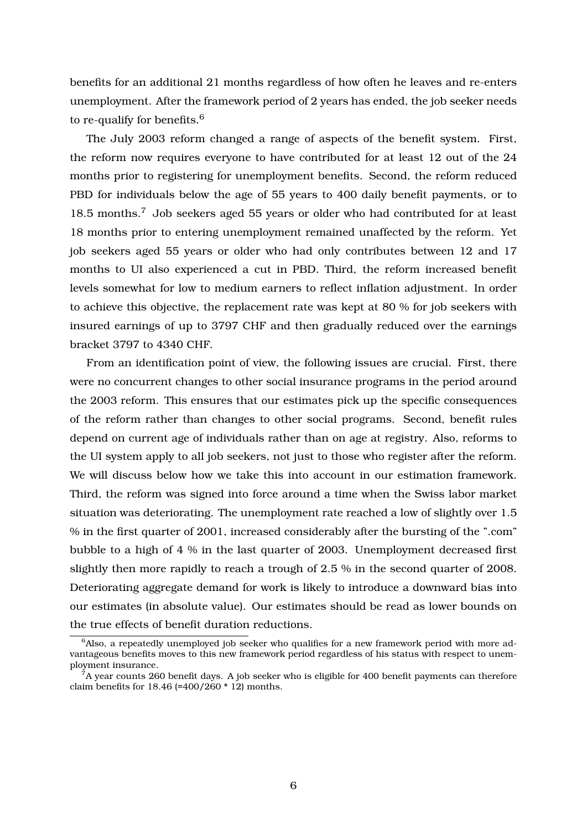benefits for an additional 21 months regardless of how often he leaves and re-enters unemployment. After the framework period of 2 years has ended, the job seeker needs to re-qualify for benefits.<sup>6</sup>

The July 2003 reform changed a range of aspects of the benefit system. First, the reform now requires everyone to have contributed for at least 12 out of the 24 months prior to registering for unemployment benefits. Second, the reform reduced PBD for individuals below the age of 55 years to 400 daily benefit payments, or to 18.5 months.<sup>7</sup> Job seekers aged 55 years or older who had contributed for at least 18 months prior to entering unemployment remained unaffected by the reform. Yet job seekers aged 55 years or older who had only contributes between 12 and 17 months to UI also experienced a cut in PBD. Third, the reform increased benefit levels somewhat for low to medium earners to reflect inflation adjustment. In order to achieve this objective, the replacement rate was kept at 80 % for job seekers with insured earnings of up to 3797 CHF and then gradually reduced over the earnings bracket 3797 to 4340 CHF.

From an identification point of view, the following issues are crucial. First, there were no concurrent changes to other social insurance programs in the period around the 2003 reform. This ensures that our estimates pick up the specific consequences of the reform rather than changes to other social programs. Second, benefit rules depend on current age of individuals rather than on age at registry. Also, reforms to the UI system apply to all job seekers, not just to those who register after the reform. We will discuss below how we take this into account in our estimation framework. Third, the reform was signed into force around a time when the Swiss labor market situation was deteriorating. The unemployment rate reached a low of slightly over 1.5 % in the first quarter of 2001, increased considerably after the bursting of the ".com" bubble to a high of 4 % in the last quarter of 2003. Unemployment decreased first slightly then more rapidly to reach a trough of 2.5 % in the second quarter of 2008. Deteriorating aggregate demand for work is likely to introduce a downward bias into our estimates (in absolute value). Our estimates should be read as lower bounds on the true effects of benefit duration reductions.

 $6A$ lso, a repeatedly unemployed job seeker who qualifies for a new framework period with more advantageous benefits moves to this new framework period regardless of his status with respect to unemployment insurance.

 $^{\tilde{7}}$ A year counts 260 benefit days. A job seeker who is eligible for 400 benefit payments can therefore claim benefits for  $18.46$  (=400/260  $*$  12) months.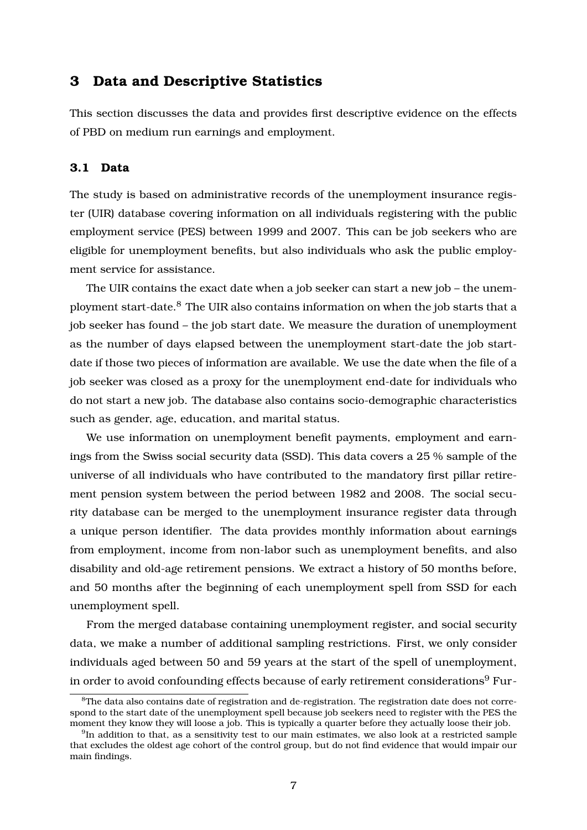## **3 Data and Descriptive Statistics**

This section discusses the data and provides first descriptive evidence on the effects of PBD on medium run earnings and employment.

## **3.1 Data**

The study is based on administrative records of the unemployment insurance register (UIR) database covering information on all individuals registering with the public employment service (PES) between 1999 and 2007. This can be job seekers who are eligible for unemployment benefits, but also individuals who ask the public employment service for assistance.

The UIR contains the exact date when a job seeker can start a new job – the unemployment start-date.<sup>8</sup> The UIR also contains information on when the job starts that a job seeker has found – the job start date. We measure the duration of unemployment as the number of days elapsed between the unemployment start-date the job startdate if those two pieces of information are available. We use the date when the file of a job seeker was closed as a proxy for the unemployment end-date for individuals who do not start a new job. The database also contains socio-demographic characteristics such as gender, age, education, and marital status.

We use information on unemployment benefit payments, employment and earnings from the Swiss social security data (SSD). This data covers a 25 % sample of the universe of all individuals who have contributed to the mandatory first pillar retirement pension system between the period between 1982 and 2008. The social security database can be merged to the unemployment insurance register data through a unique person identifier. The data provides monthly information about earnings from employment, income from non-labor such as unemployment benefits, and also disability and old-age retirement pensions. We extract a history of 50 months before, and 50 months after the beginning of each unemployment spell from SSD for each unemployment spell.

From the merged database containing unemployment register, and social security data, we make a number of additional sampling restrictions. First, we only consider individuals aged between 50 and 59 years at the start of the spell of unemployment, in order to avoid confounding effects because of early retirement considerations<sup>9</sup> Fur-

 ${}^{8}$ The data also contains date of registration and de-registration. The registration date does not correspond to the start date of the unemployment spell because job seekers need to register with the PES the moment they know they will loose a job. This is typically a quarter before they actually loose their job.

 $^9{\rm In}$  addition to that, as a sensitivity test to our main estimates, we also look at a restricted sample that excludes the oldest age cohort of the control group, but do not find evidence that would impair our main findings.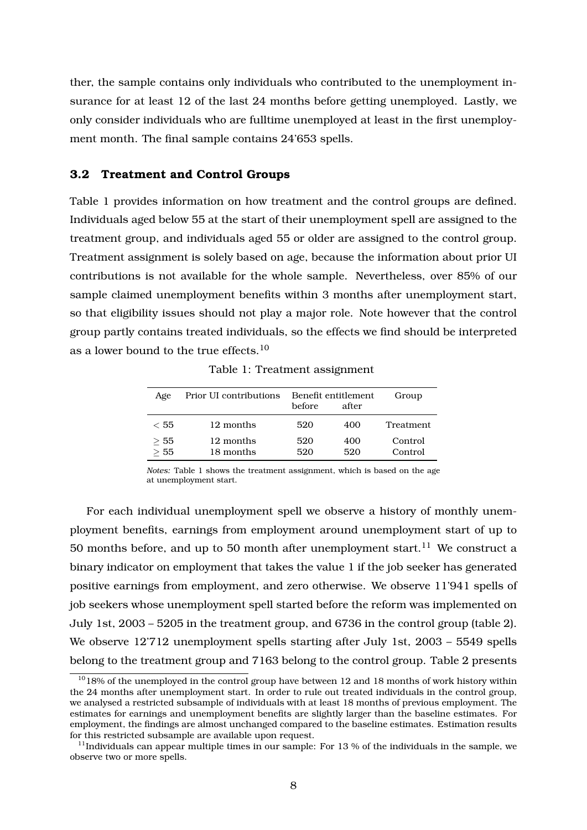ther, the sample contains only individuals who contributed to the unemployment insurance for at least 12 of the last 24 months before getting unemployed. Lastly, we only consider individuals who are fulltime unemployed at least in the first unemployment month. The final sample contains 24'653 spells.

#### **3.2 Treatment and Control Groups**

Table 1 provides information on how treatment and the control groups are defined. Individuals aged below 55 at the start of their unemployment spell are assigned to the treatment group, and individuals aged 55 or older are assigned to the control group. Treatment assignment is solely based on age, because the information about prior UI contributions is not available for the whole sample. Nevertheless, over 85% of our sample claimed unemployment benefits within 3 months after unemployment start, so that eligibility issues should not play a major role. Note however that the control group partly contains treated individuals, so the effects we find should be interpreted as a lower bound to the true effects.<sup>10</sup>

| Age                      | Prior UI contributions | before.    | Benefit entitlement<br>after | Group              |
|--------------------------|------------------------|------------|------------------------------|--------------------|
| < 55                     | 12 months              | 520        | 400                          | <b>Treatment</b>   |
| > 55<br>$\overline{>}55$ | 12 months<br>18 months | 520<br>520 | 400<br>520                   | Control<br>Control |

Table 1: Treatment assignment

*Notes:* Table 1 shows the treatment assignment, which is based on the age at unemployment start.

For each individual unemployment spell we observe a history of monthly unemployment benefits, earnings from employment around unemployment start of up to 50 months before, and up to 50 month after unemployment start.<sup>11</sup> We construct a binary indicator on employment that takes the value 1 if the job seeker has generated positive earnings from employment, and zero otherwise. We observe 11'941 spells of job seekers whose unemployment spell started before the reform was implemented on July 1st, 2003 – 5205 in the treatment group, and 6736 in the control group (table 2). We observe 12'712 unemployment spells starting after July 1st, 2003 – 5549 spells belong to the treatment group and 7163 belong to the control group. Table 2 presents

 $1018\%$  of the unemployed in the control group have between 12 and 18 months of work history within the 24 months after unemployment start. In order to rule out treated individuals in the control group, we analysed a restricted subsample of individuals with at least 18 months of previous employment. The estimates for earnings and unemployment benefits are slightly larger than the baseline estimates. For employment, the findings are almost unchanged compared to the baseline estimates. Estimation results for this restricted subsample are available upon request.

 $11$ Individuals can appear multiple times in our sample: For 13 % of the individuals in the sample, we observe two or more spells.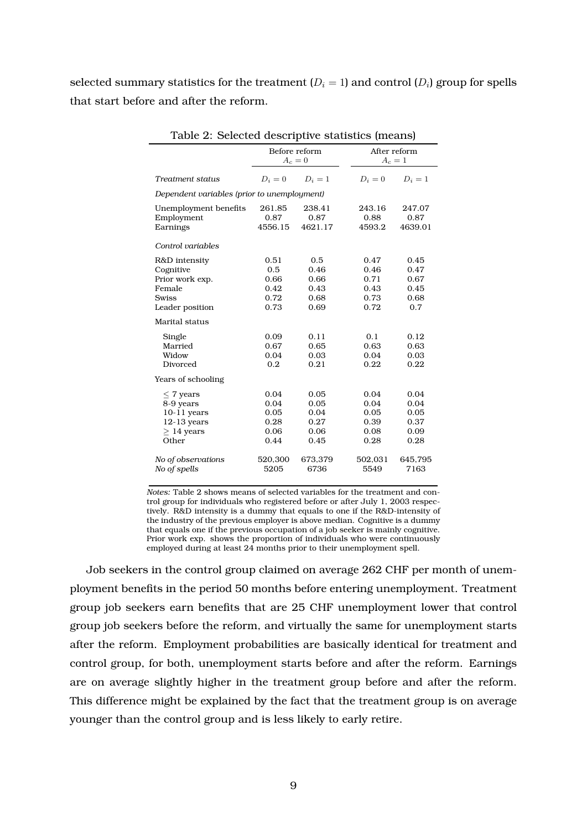selected summary statistics for the treatment ( $D_i=1$ ) and control ( $D_i$ ) group for spells that start before and after the reform.

| radio 2. Science descriptive statistics (incaris) |               |         |  |         |              |  |  |
|---------------------------------------------------|---------------|---------|--|---------|--------------|--|--|
|                                                   | Before reform |         |  |         | After reform |  |  |
|                                                   | $A_c=0$       |         |  | $A_c=1$ |              |  |  |
| Treatment status                                  | $D_i=0$       | $D_i=1$ |  | $D_i=0$ | $D_i=1$      |  |  |
| Dependent variables (prior to unemployment)       |               |         |  |         |              |  |  |
| Unemployment benefits                             | 261.85        | 238.41  |  | 243.16  | 247.07       |  |  |
| Employment                                        | 0.87          | 0.87    |  | 0.88    | 0.87         |  |  |
| Earnings                                          | 4556.15       | 4621.17 |  | 4593.2  | 4639.01      |  |  |
| Control variables                                 |               |         |  |         |              |  |  |
| R&D intensity                                     | 0.51          | 0.5     |  | 0.47    | 0.45         |  |  |
| Cognitive                                         | 0.5           | 0.46    |  | 0.46    | 0.47         |  |  |
| Prior work exp.                                   | 0.66          | 0.66    |  | 0.71    | 0.67         |  |  |
| Female                                            | 0.42          | 0.43    |  | 0.43    | 0.45         |  |  |
| <b>Swiss</b>                                      | 0.72          | 0.68    |  | 0.73    | 0.68         |  |  |
| Leader position                                   | 0.73          | 0.69    |  | 0.72    | 0.7          |  |  |
| Marital status                                    |               |         |  |         |              |  |  |
| Single                                            | 0.09          | 0.11    |  | 0.1     | 0.12         |  |  |
| Married                                           | 0.67          | 0.65    |  | 0.63    | 0.63         |  |  |
| Widow                                             | 0.04          | 0.03    |  | 0.04    | 0.03         |  |  |
| Divorced                                          | 0.2           | 0.21    |  | 0.22    | 0.22         |  |  |
| Years of schooling                                |               |         |  |         |              |  |  |
| $\leq$ 7 years                                    | 0.04          | 0.05    |  | 0.04    | 0.04         |  |  |
| 8-9 years                                         | 0.04          | 0.05    |  | 0.04    | 0.04         |  |  |
| $10-11$ years                                     | 0.05          | 0.04    |  | 0.05    | 0.05         |  |  |
| $12-13$ years                                     | 0.28          | 0.27    |  | 0.39    | 0.37         |  |  |
| $> 14$ years                                      | 0.06          | 0.06    |  | 0.08    | 0.09         |  |  |
| Other                                             | 0.44          | 0.45    |  | 0.28    | 0.28         |  |  |
| No of observations                                | 520,300       | 673,379 |  | 502,031 | 645,795      |  |  |
| No of spells                                      | 5205          | 6736    |  | 5549    | 7163         |  |  |
|                                                   |               |         |  |         |              |  |  |

Table 2: Selected descriptive statistics (means)

*Notes:* Table 2 shows means of selected variables for the treatment and control group for individuals who registered before or after July 1, 2003 respectively. R&D intensity is a dummy that equals to one if the R&D-intensity of the industry of the previous employer is above median. Cognitive is a dummy that equals one if the previous occupation of a job seeker is mainly cognitive. Prior work exp. shows the proportion of individuals who were continuously employed during at least 24 months prior to their unemployment spell.

Job seekers in the control group claimed on average 262 CHF per month of unemployment benefits in the period 50 months before entering unemployment. Treatment group job seekers earn benefits that are 25 CHF unemployment lower that control group job seekers before the reform, and virtually the same for unemployment starts after the reform. Employment probabilities are basically identical for treatment and control group, for both, unemployment starts before and after the reform. Earnings are on average slightly higher in the treatment group before and after the reform. This difference might be explained by the fact that the treatment group is on average younger than the control group and is less likely to early retire.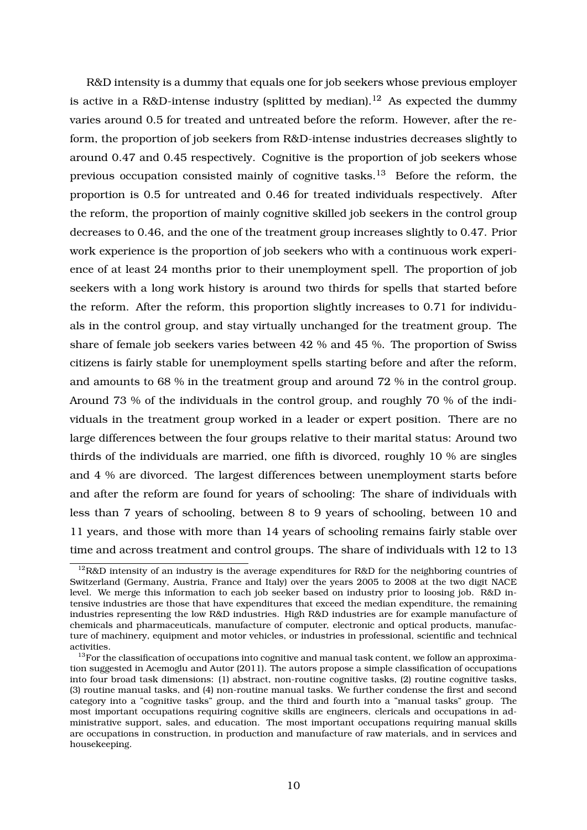R&D intensity is a dummy that equals one for job seekers whose previous employer is active in a R&D-intense industry (splitted by median).<sup>12</sup> As expected the dummy varies around 0.5 for treated and untreated before the reform. However, after the reform, the proportion of job seekers from R&D-intense industries decreases slightly to around 0.47 and 0.45 respectively. Cognitive is the proportion of job seekers whose previous occupation consisted mainly of cognitive tasks.<sup>13</sup> Before the reform, the proportion is 0.5 for untreated and 0.46 for treated individuals respectively. After the reform, the proportion of mainly cognitive skilled job seekers in the control group decreases to 0.46, and the one of the treatment group increases slightly to 0.47. Prior work experience is the proportion of job seekers who with a continuous work experience of at least 24 months prior to their unemployment spell. The proportion of job seekers with a long work history is around two thirds for spells that started before the reform. After the reform, this proportion slightly increases to 0.71 for individuals in the control group, and stay virtually unchanged for the treatment group. The share of female job seekers varies between 42 % and 45 %. The proportion of Swiss citizens is fairly stable for unemployment spells starting before and after the reform, and amounts to 68 % in the treatment group and around 72 % in the control group. Around 73 % of the individuals in the control group, and roughly 70 % of the individuals in the treatment group worked in a leader or expert position. There are no large differences between the four groups relative to their marital status: Around two thirds of the individuals are married, one fifth is divorced, roughly 10 % are singles and 4 % are divorced. The largest differences between unemployment starts before and after the reform are found for years of schooling: The share of individuals with less than 7 years of schooling, between 8 to 9 years of schooling, between 10 and 11 years, and those with more than 14 years of schooling remains fairly stable over time and across treatment and control groups. The share of individuals with 12 to 13

 $12$ R&D intensity of an industry is the average expenditures for R&D for the neighboring countries of Switzerland (Germany, Austria, France and Italy) over the years 2005 to 2008 at the two digit NACE level. We merge this information to each job seeker based on industry prior to loosing job. R&D intensive industries are those that have expenditures that exceed the median expenditure, the remaining industries representing the low R&D industries. High R&D industries are for example manufacture of chemicals and pharmaceuticals, manufacture of computer, electronic and optical products, manufacture of machinery, equipment and motor vehicles, or industries in professional, scientific and technical activities.

 $^{13}$  For the classification of occupations into cognitive and manual task content, we follow an approximation suggested in Acemoglu and Autor (2011). The autors propose a simple classification of occupations into four broad task dimensions: (1) abstract, non-routine cognitive tasks, (2) routine cognitive tasks, (3) routine manual tasks, and (4) non-routine manual tasks. We further condense the first and second category into a "cognitive tasks" group, and the third and fourth into a "manual tasks" group. The most important occupations requiring cognitive skills are engineers, clericals and occupations in administrative support, sales, and education. The most important occupations requiring manual skills are occupations in construction, in production and manufacture of raw materials, and in services and housekeeping.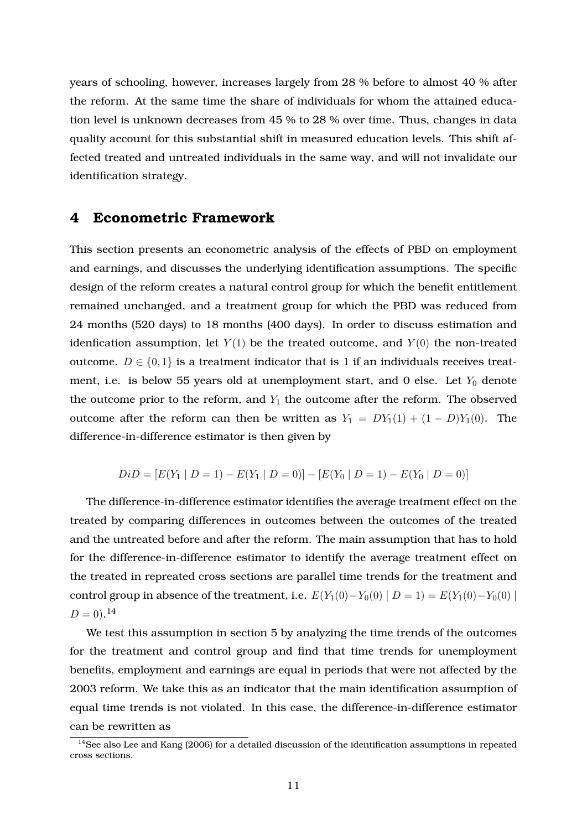years of schooling, however, increases largely from 28 % before to almost 40 % after the reform. At the same time the share of individuals for whom the attained education level is unknown decreases from 45 % to 28 % over time. Thus, changes in data quality account for this substantial shift in measured education levels. This shift affected treated and untreated individuals in the same way, and will not invalidate our identification strategy.

## **4 Econometric Framework**

This section presents an econometric analysis of the effects of PBD on employment and earnings, and discusses the underlying identification assumptions. The specific design of the reform creates a natural control group for which the benefit entitlement remained unchanged, and a treatment group for which the PBD was reduced from 24 months (520 days) to 18 months (400 days). In order to discuss estimation and idenfication assumption, let  $Y(1)$  be the treated outcome, and  $Y(0)$  the non-treated outcome.  $D \in \{0, 1\}$  is a treatment indicator that is 1 if an individuals receives treatment, i.e. is below 55 years old at unemployment start, and 0 else. Let  $Y_0$  denote the outcome prior to the reform, and  $Y_1$  the outcome after the reform. The observed outcome after the reform can then be written as  $Y_1 = DY_1(1) + (1 - D)Y_1(0)$ . The difference-in-difference estimator is then given by

$$
DiD = [E(Y_1 | D = 1) - E(Y_1 | D = 0)] - [E(Y_0 | D = 1) - E(Y_0 | D = 0)]
$$

The difference-in-difference estimator identifies the average treatment effect on the treated by comparing differences in outcomes between the outcomes of the treated and the untreated before and after the reform. The main assumption that has to hold for the difference-in-difference estimator to identify the average treatment effect on the treated in repreated cross sections are parallel time trends for the treatment and control group in absence of the treatment, i.e.  $E(Y_1(0)-Y_0(0) | D = 1) = E(Y_1(0)-Y_0(0) |$  $D = 0$ .<sup>14</sup>

We test this assumption in section 5 by analyzing the time trends of the outcomes for the treatment and control group and find that time trends for unemployment benefits, employment and earnings are equal in periods that were not affected by the 2003 reform. We take this as an indicator that the main identification assumption of equal time trends is not violated. In this case, the difference-in-difference estimator can be rewritten as

<sup>&</sup>lt;sup>14</sup>See also Lee and Kang (2006) for a detailed discussion of the identification assumptions in repeated cross sections.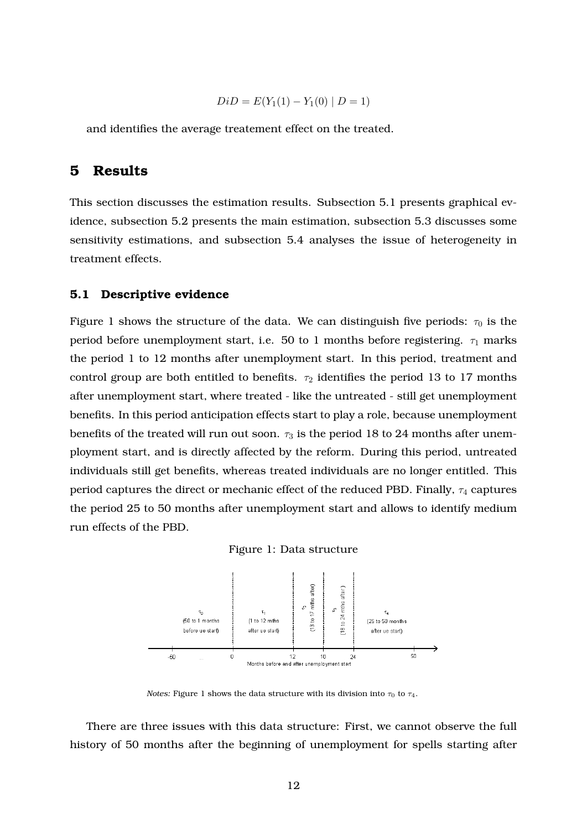$$
DiD = E(Y_1(1) - Y_1(0) | D = 1)
$$

and identifies the average treatement effect on the treated.

# **5 Results**

This section discusses the estimation results. Subsection 5.1 presents graphical evidence, subsection 5.2 presents the main estimation, subsection 5.3 discusses some sensitivity estimations, and subsection 5.4 analyses the issue of heterogeneity in treatment effects.

#### **5.1 Descriptive evidence**

Figure 1 shows the structure of the data. We can distinguish five periods:  $\tau_0$  is the period before unemployment start, i.e. 50 to 1 months before registering.  $\tau_1$  marks the period 1 to 12 months after unemployment start. In this period, treatment and control group are both entitled to benefits.  $\tau_2$  identifies the period 13 to 17 months after unemployment start, where treated - like the untreated - still get unemployment benefits. In this period anticipation effects start to play a role, because unemployment benefits of the treated will run out soon.  $\tau_3$  is the period 18 to 24 months after unemployment start, and is directly affected by the reform. During this period, untreated individuals still get benefits, whereas treated individuals are no longer entitled. This period captures the direct or mechanic effect of the reduced PBD. Finally, *τ*<sup>4</sup> captures the period 25 to 50 months after unemployment start and allows to identify medium run effects of the PBD.





*Notes:* Figure 1 shows the data structure with its division into  $\tau_0$  to  $\tau_4$ .

There are three issues with this data structure: First, we cannot observe the full history of 50 months after the beginning of unemployment for spells starting after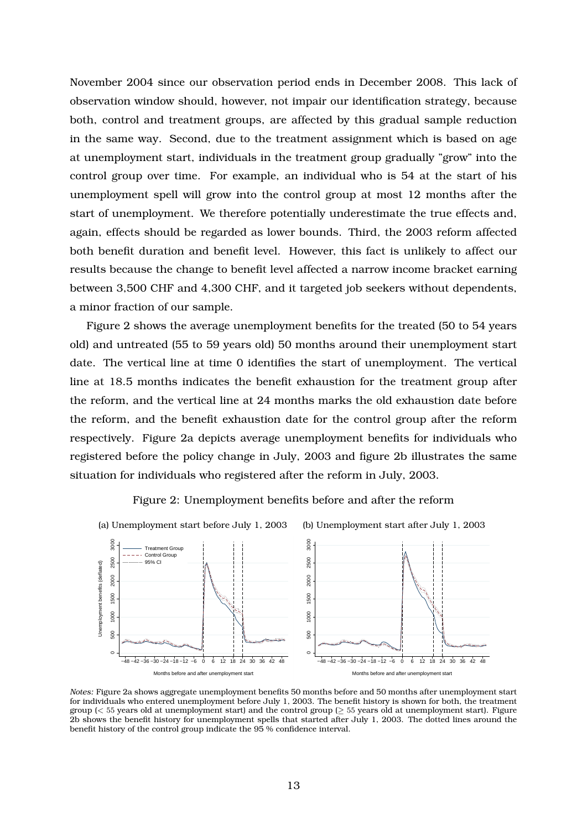November 2004 since our observation period ends in December 2008. This lack of observation window should, however, not impair our identification strategy, because both, control and treatment groups, are affected by this gradual sample reduction in the same way. Second, due to the treatment assignment which is based on age at unemployment start, individuals in the treatment group gradually "grow" into the control group over time. For example, an individual who is 54 at the start of his unemployment spell will grow into the control group at most 12 months after the start of unemployment. We therefore potentially underestimate the true effects and, again, effects should be regarded as lower bounds. Third, the 2003 reform affected both benefit duration and benefit level. However, this fact is unlikely to affect our results because the change to benefit level affected a narrow income bracket earning between 3,500 CHF and 4,300 CHF, and it targeted job seekers without dependents, a minor fraction of our sample.

Figure 2 shows the average unemployment benefits for the treated (50 to 54 years old) and untreated (55 to 59 years old) 50 months around their unemployment start date. The vertical line at time 0 identifies the start of unemployment. The vertical line at 18.5 months indicates the benefit exhaustion for the treatment group after the reform, and the vertical line at 24 months marks the old exhaustion date before the reform, and the benefit exhaustion date for the control group after the reform respectively. Figure 2a depicts average unemployment benefits for individuals who registered before the policy change in July, 2003 and figure 2b illustrates the same situation for individuals who registered after the reform in July, 2003.



Figure 2: Unemployment benefits before and after the reform

*Notes:* Figure 2a shows aggregate unemployment benefits 50 months before and 50 months after unemployment start for individuals who entered unemployment before July 1, 2003. The benefit history is shown for both, the treatment group (*<* 55 years old at unemployment start) and the control group (*≥* 55 years old at unemployment start). Figure 2b shows the benefit history for unemployment spells that started after July 1, 2003. The dotted lines around the benefit history of the control group indicate the 95 % confidence interval.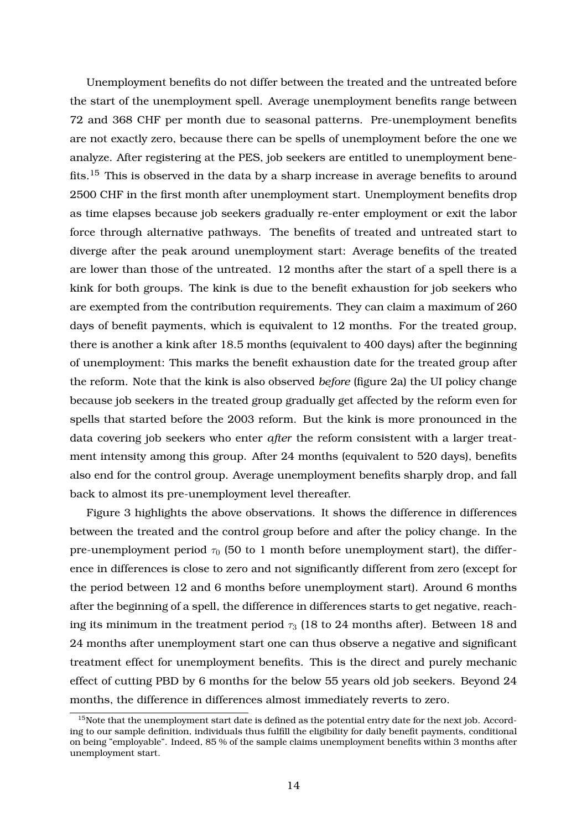Unemployment benefits do not differ between the treated and the untreated before the start of the unemployment spell. Average unemployment benefits range between 72 and 368 CHF per month due to seasonal patterns. Pre-unemployment benefits are not exactly zero, because there can be spells of unemployment before the one we analyze. After registering at the PES, job seekers are entitled to unemployment benefits.<sup>15</sup> This is observed in the data by a sharp increase in average benefits to around 2500 CHF in the first month after unemployment start. Unemployment benefits drop as time elapses because job seekers gradually re-enter employment or exit the labor force through alternative pathways. The benefits of treated and untreated start to diverge after the peak around unemployment start: Average benefits of the treated are lower than those of the untreated. 12 months after the start of a spell there is a kink for both groups. The kink is due to the benefit exhaustion for job seekers who are exempted from the contribution requirements. They can claim a maximum of 260 days of benefit payments, which is equivalent to 12 months. For the treated group, there is another a kink after 18.5 months (equivalent to 400 days) after the beginning of unemployment: This marks the benefit exhaustion date for the treated group after the reform. Note that the kink is also observed *before* (figure 2a) the UI policy change because job seekers in the treated group gradually get affected by the reform even for spells that started before the 2003 reform. But the kink is more pronounced in the data covering job seekers who enter *after* the reform consistent with a larger treatment intensity among this group. After 24 months (equivalent to 520 days), benefits also end for the control group. Average unemployment benefits sharply drop, and fall back to almost its pre-unemployment level thereafter.

Figure 3 highlights the above observations. It shows the difference in differences between the treated and the control group before and after the policy change. In the pre-unemployment period  $\tau_0$  (50 to 1 month before unemployment start), the difference in differences is close to zero and not significantly different from zero (except for the period between 12 and 6 months before unemployment start). Around 6 months after the beginning of a spell, the difference in differences starts to get negative, reaching its minimum in the treatment period  $\tau_3$  (18 to 24 months after). Between 18 and 24 months after unemployment start one can thus observe a negative and significant treatment effect for unemployment benefits. This is the direct and purely mechanic effect of cutting PBD by 6 months for the below 55 years old job seekers. Beyond 24 months, the difference in differences almost immediately reverts to zero.

<sup>&</sup>lt;sup>15</sup>Note that the unemployment start date is defined as the potential entry date for the next job. According to our sample definition, individuals thus fulfill the eligibility for daily benefit payments, conditional on being "employable". Indeed, 85 % of the sample claims unemployment benefits within 3 months after unemployment start.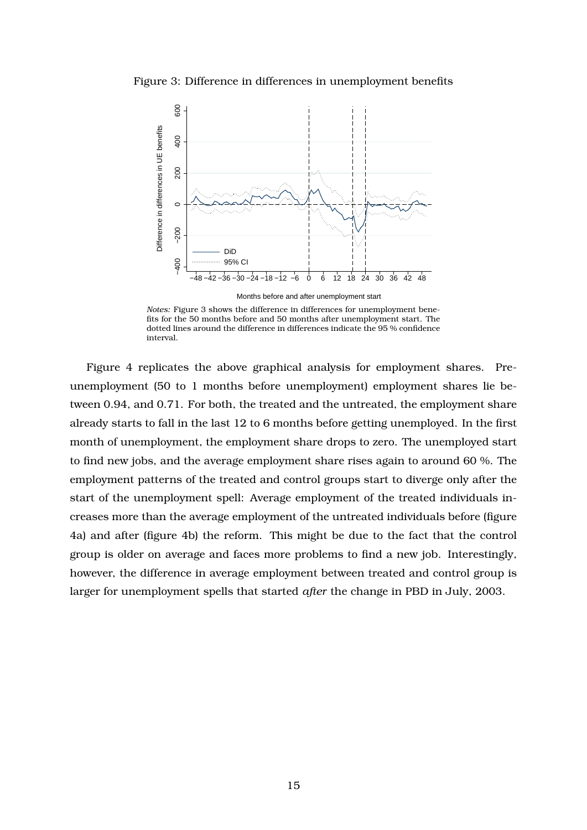Figure 3: Difference in differences in unemployment benefits



*Notes:* Figure 3 shows the difference in differences for unemployment benefits for the 50 months before and 50 months after unemployment start. The dotted lines around the difference in differences indicate the 95 % confidence interval.

Figure 4 replicates the above graphical analysis for employment shares. Preunemployment (50 to 1 months before unemployment) employment shares lie between 0.94, and 0.71. For both, the treated and the untreated, the employment share already starts to fall in the last 12 to 6 months before getting unemployed. In the first month of unemployment, the employment share drops to zero. The unemployed start to find new jobs, and the average employment share rises again to around 60 %. The employment patterns of the treated and control groups start to diverge only after the start of the unemployment spell: Average employment of the treated individuals increases more than the average employment of the untreated individuals before (figure 4a) and after (figure 4b) the reform. This might be due to the fact that the control group is older on average and faces more problems to find a new job. Interestingly, however, the difference in average employment between treated and control group is larger for unemployment spells that started *after* the change in PBD in July, 2003.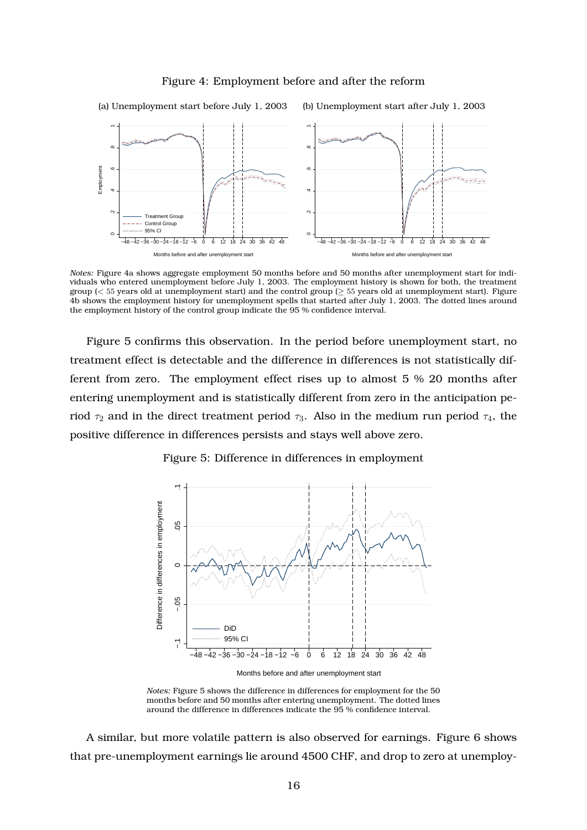#### Figure 4: Employment before and after the reform



*Notes:* Figure 4a shows aggregate employment 50 months before and 50 months after unemployment start for individuals who entered unemployment before July 1, 2003. The employment history is shown for both, the treatment group (*<* 55 years old at unemployment start) and the control group (*≥* 55 years old at unemployment start). Figure 4b shows the employment history for unemployment spells that started after July 1, 2003. The dotted lines around the employment history of the control group indicate the 95 % confidence interval.

Figure 5 confirms this observation. In the period before unemployment start, no treatment effect is detectable and the difference in differences is not statistically different from zero. The employment effect rises up to almost 5 % 20 months after entering unemployment and is statistically different from zero in the anticipation period  $\tau_2$  and in the direct treatment period  $\tau_3$ . Also in the medium run period  $\tau_4$ , the positive difference in differences persists and stays well above zero.



Figure 5: Difference in differences in employment

Months before and after unemployment start

A similar, but more volatile pattern is also observed for earnings. Figure 6 shows that pre-unemployment earnings lie around 4500 CHF, and drop to zero at unemploy-

*Notes:* Figure 5 shows the difference in differences for employment for the 50 months before and 50 months after entering unemployment. The dotted lines around the difference in differences indicate the 95 % confidence interval.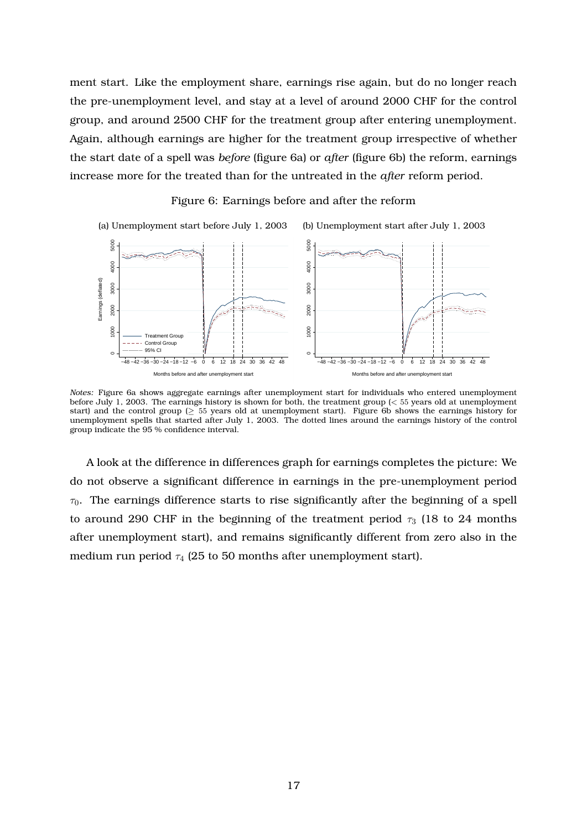ment start. Like the employment share, earnings rise again, but do no longer reach the pre-unemployment level, and stay at a level of around 2000 CHF for the control group, and around 2500 CHF for the treatment group after entering unemployment. Again, although earnings are higher for the treatment group irrespective of whether the start date of a spell was *before* (figure 6a) or *after* (figure 6b) the reform, earnings increase more for the treated than for the untreated in the *after* reform period.

#### Figure 6: Earnings before and after the reform



*Notes:* Figure 6a shows aggregate earnings after unemployment start for individuals who entered unemployment before July 1, 2003. The earnings history is shown for both, the treatment group (*<* 55 years old at unemployment start) and the control group (*≥* 55 years old at unemployment start). Figure 6b shows the earnings history for unemployment spells that started after July 1, 2003. The dotted lines around the earnings history of the control group indicate the 95 % confidence interval.

A look at the difference in differences graph for earnings completes the picture: We do not observe a significant difference in earnings in the pre-unemployment period *τ*0. The earnings difference starts to rise significantly after the beginning of a spell to around 290 CHF in the beginning of the treatment period  $\tau_3$  (18 to 24 months after unemployment start), and remains significantly different from zero also in the medium run period  $\tau_4$  (25 to 50 months after unemployment start).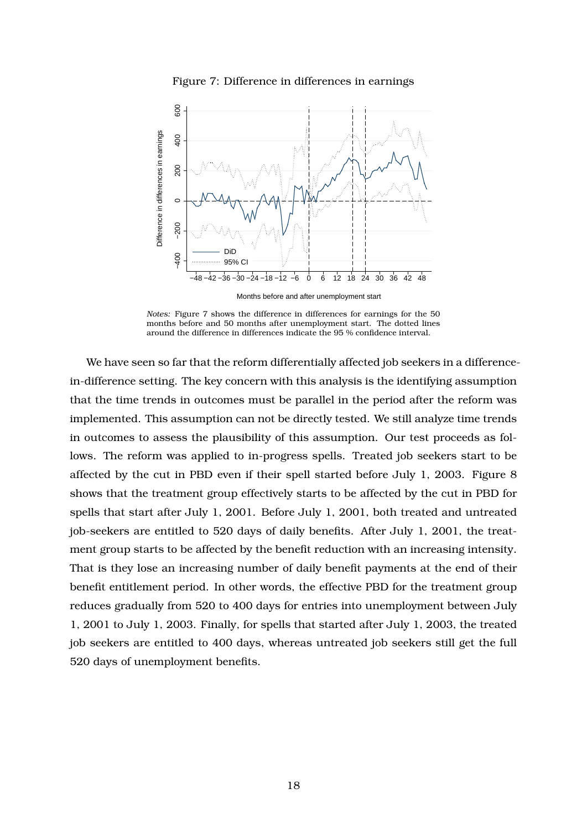

Figure 7: Difference in differences in earnings

Months before and after unemployment start

*Notes:* Figure 7 shows the difference in differences for earnings for the 50 months before and 50 months after unemployment start. The dotted lines around the difference in differences indicate the 95 % confidence interval.

We have seen so far that the reform differentially affected job seekers in a differencein-difference setting. The key concern with this analysis is the identifying assumption that the time trends in outcomes must be parallel in the period after the reform was implemented. This assumption can not be directly tested. We still analyze time trends in outcomes to assess the plausibility of this assumption. Our test proceeds as follows. The reform was applied to in-progress spells. Treated job seekers start to be affected by the cut in PBD even if their spell started before July 1, 2003. Figure 8 shows that the treatment group effectively starts to be affected by the cut in PBD for spells that start after July 1, 2001. Before July 1, 2001, both treated and untreated job-seekers are entitled to 520 days of daily benefits. After July 1, 2001, the treatment group starts to be affected by the benefit reduction with an increasing intensity. That is they lose an increasing number of daily benefit payments at the end of their benefit entitlement period. In other words, the effective PBD for the treatment group reduces gradually from 520 to 400 days for entries into unemployment between July 1, 2001 to July 1, 2003. Finally, for spells that started after July 1, 2003, the treated job seekers are entitled to 400 days, whereas untreated job seekers still get the full 520 days of unemployment benefits.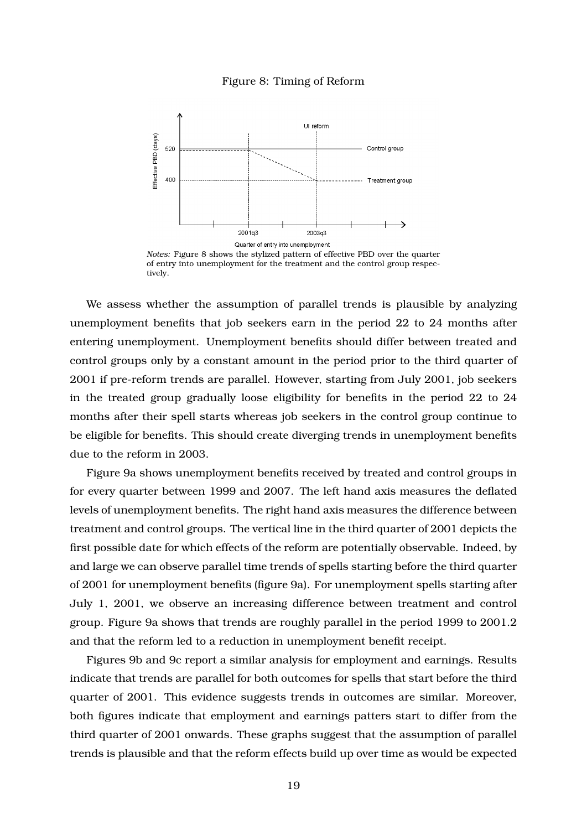#### Figure 8: Timing of Reform



*Notes:* Figure 8 shows the stylized pattern of effective PBD over the quarter of entry into unemployment for the treatment and the control group respectively.

We assess whether the assumption of parallel trends is plausible by analyzing unemployment benefits that job seekers earn in the period 22 to 24 months after entering unemployment. Unemployment benefits should differ between treated and control groups only by a constant amount in the period prior to the third quarter of 2001 if pre-reform trends are parallel. However, starting from July 2001, job seekers in the treated group gradually loose eligibility for benefits in the period 22 to 24 months after their spell starts whereas job seekers in the control group continue to be eligible for benefits. This should create diverging trends in unemployment benefits due to the reform in 2003.

Figure 9a shows unemployment benefits received by treated and control groups in for every quarter between 1999 and 2007. The left hand axis measures the deflated levels of unemployment benefits. The right hand axis measures the difference between treatment and control groups. The vertical line in the third quarter of 2001 depicts the first possible date for which effects of the reform are potentially observable. Indeed, by and large we can observe parallel time trends of spells starting before the third quarter of 2001 for unemployment benefits (figure 9a). For unemployment spells starting after July 1, 2001, we observe an increasing difference between treatment and control group. Figure 9a shows that trends are roughly parallel in the period 1999 to 2001.2 and that the reform led to a reduction in unemployment benefit receipt.

Figures 9b and 9c report a similar analysis for employment and earnings. Results indicate that trends are parallel for both outcomes for spells that start before the third quarter of 2001. This evidence suggests trends in outcomes are similar. Moreover, both figures indicate that employment and earnings patters start to differ from the third quarter of 2001 onwards. These graphs suggest that the assumption of parallel trends is plausible and that the reform effects build up over time as would be expected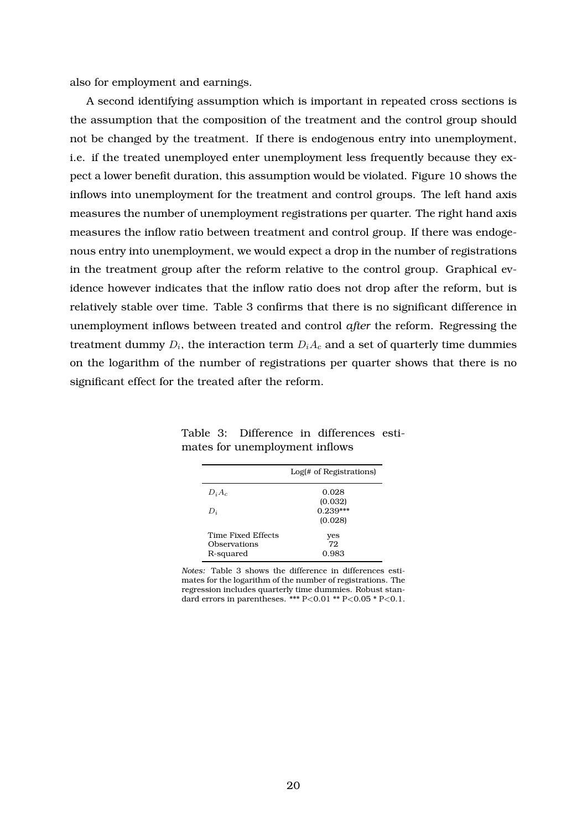also for employment and earnings.

A second identifying assumption which is important in repeated cross sections is the assumption that the composition of the treatment and the control group should not be changed by the treatment. If there is endogenous entry into unemployment, i.e. if the treated unemployed enter unemployment less frequently because they expect a lower benefit duration, this assumption would be violated. Figure 10 shows the inflows into unemployment for the treatment and control groups. The left hand axis measures the number of unemployment registrations per quarter. The right hand axis measures the inflow ratio between treatment and control group. If there was endogenous entry into unemployment, we would expect a drop in the number of registrations in the treatment group after the reform relative to the control group. Graphical evidence however indicates that the inflow ratio does not drop after the reform, but is relatively stable over time. Table 3 confirms that there is no significant difference in unemployment inflows between treated and control *after* the reform. Regressing the treatment dummy  $D_i$ , the interaction term  $D_iA_c$  and a set of quarterly time dummies on the logarithm of the number of registrations per quarter shows that there is no significant effect for the treated after the reform.

|                    | Log(# of Registrations) |
|--------------------|-------------------------|
| $D_iA_c$           | 0.028                   |
|                    | (0.032)                 |
| $D_i$              | $0.239***$              |
|                    | (0.028)                 |
| Time Fixed Effects | yes                     |
| Observations       | 72                      |
| R-squared          | 0.983                   |

Table 3: Difference in differences estimates for unemployment inflows

*Notes:* Table 3 shows the difference in differences estimates for the logarithm of the number of registrations. The regression includes quarterly time dummies. Robust standard errors in parentheses. \*\*\* P*<*0.01 \*\* P*<*0.05 \* P*<*0.1.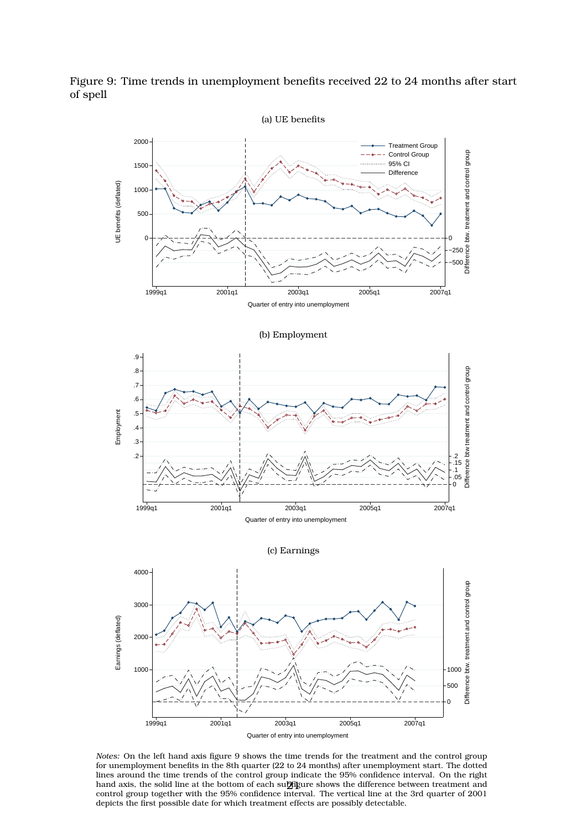Figure 9: Time trends in unemployment benefits received 22 to 24 months after start of spell



*Notes:* On the left hand axis figure 9 shows the time trends for the treatment and the control group for unemployment benefits in the 8th quarter (22 to 24 months) after unemployment start. The dotted lines around the time trends of the control group indicate the 95% confidence interval. On the right hand axis, the solid line at the bottom of each subfigure shows the difference between treatment and control group together with the 95% confidence interval. The vertical line at the 3rd quarter of 2001 depicts the first possible date for which treatment effects are possibly detectable.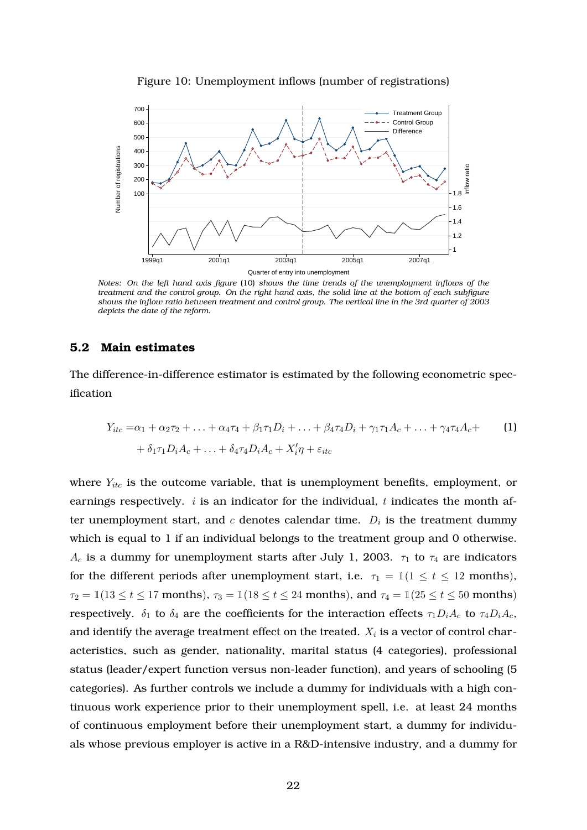



*Notes: On the left hand axis figure* (10) *shows the time trends of the unemployment inflows of the treatment and the control group. On the right hand axis, the solid line at the bottom of each subfigure shows the inflow ratio between treatment and control group. The vertical line in the 3rd quarter of 2003 depicts the date of the reform.*

## **5.2 Main estimates**

The difference-in-difference estimator is estimated by the following econometric specification

$$
Y_{itc} = \alpha_1 + \alpha_2 \tau_2 + \ldots + \alpha_4 \tau_4 + \beta_1 \tau_1 D_i + \ldots + \beta_4 \tau_4 D_i + \gamma_1 \tau_1 A_c + \ldots + \gamma_4 \tau_4 A_c +
$$
  
+  $\delta_1 \tau_1 D_i A_c + \ldots + \delta_4 \tau_4 D_i A_c + X_i' \eta + \varepsilon_{itc}$  (1)

where  $Y_{itc}$  is the outcome variable, that is unemployment benefits, employment, or earnings respectively. *i* is an indicator for the individual, *t* indicates the month after unemployment start, and  $c$  denotes calendar time.  $D_i$  is the treatment dummy which is equal to 1 if an individual belongs to the treatment group and 0 otherwise. *A*<sub>c</sub> is a dummy for unemployment starts after July 1, 2003.  $\tau_1$  to  $\tau_4$  are indicators for the different periods after unemployment start, i.e.  $\tau_1 = 1(1 \le t \le 12 \text{ months})$ , *τ*<sub>2</sub> =  $\mathbb{1}(13 \le t \le 17 \text{ months})$ , *τ*<sub>3</sub> =  $\mathbb{1}(18 \le t \le 24 \text{ months})$ , and  $\tau_4 = \mathbb{1}(25 \le t \le 50 \text{ months})$ respectively.  $\delta_1$  to  $\delta_4$  are the coefficients for the interaction effects  $\tau_1 D_i A_c$  to  $\tau_4 D_i A_c$ , and identify the average treatment effect on the treated.  $X_i$  is a vector of control characteristics, such as gender, nationality, marital status (4 categories), professional status (leader/expert function versus non-leader function), and years of schooling (5 categories). As further controls we include a dummy for individuals with a high continuous work experience prior to their unemployment spell, i.e. at least 24 months of continuous employment before their unemployment start, a dummy for individuals whose previous employer is active in a R&D-intensive industry, and a dummy for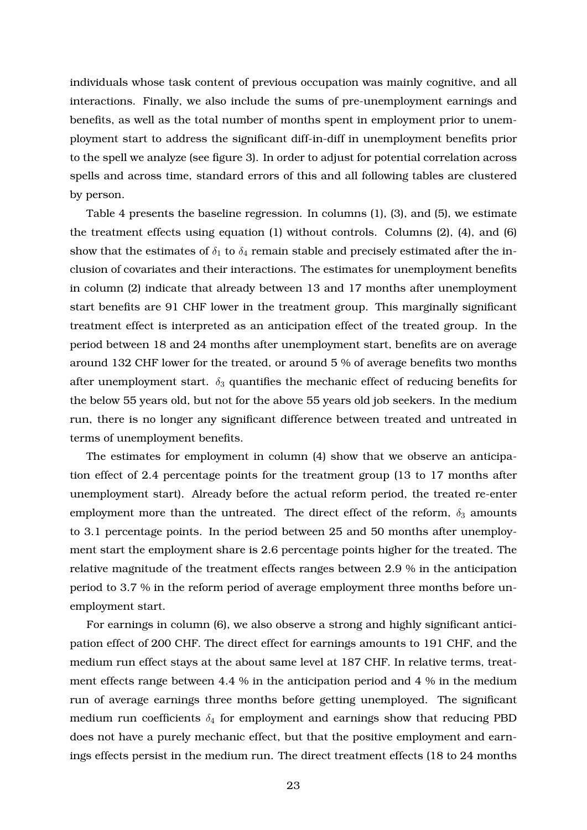individuals whose task content of previous occupation was mainly cognitive, and all interactions. Finally, we also include the sums of pre-unemployment earnings and benefits, as well as the total number of months spent in employment prior to unemployment start to address the significant diff-in-diff in unemployment benefits prior to the spell we analyze (see figure 3). In order to adjust for potential correlation across spells and across time, standard errors of this and all following tables are clustered by person.

Table 4 presents the baseline regression. In columns (1), (3), and (5), we estimate the treatment effects using equation (1) without controls. Columns (2), (4), and (6) show that the estimates of  $\delta_1$  to  $\delta_4$  remain stable and precisely estimated after the inclusion of covariates and their interactions. The estimates for unemployment benefits in column (2) indicate that already between 13 and 17 months after unemployment start benefits are 91 CHF lower in the treatment group. This marginally significant treatment effect is interpreted as an anticipation effect of the treated group. In the period between 18 and 24 months after unemployment start, benefits are on average around 132 CHF lower for the treated, or around 5 % of average benefits two months after unemployment start. *δ*<sup>3</sup> quantifies the mechanic effect of reducing benefits for the below 55 years old, but not for the above 55 years old job seekers. In the medium run, there is no longer any significant difference between treated and untreated in terms of unemployment benefits.

The estimates for employment in column (4) show that we observe an anticipation effect of 2.4 percentage points for the treatment group (13 to 17 months after unemployment start). Already before the actual reform period, the treated re-enter employment more than the untreated. The direct effect of the reform,  $\delta_3$  amounts to 3.1 percentage points. In the period between 25 and 50 months after unemployment start the employment share is 2.6 percentage points higher for the treated. The relative magnitude of the treatment effects ranges between 2.9 % in the anticipation period to 3.7 % in the reform period of average employment three months before unemployment start.

For earnings in column (6), we also observe a strong and highly significant anticipation effect of 200 CHF. The direct effect for earnings amounts to 191 CHF, and the medium run effect stays at the about same level at 187 CHF. In relative terms, treatment effects range between 4.4 % in the anticipation period and 4 % in the medium run of average earnings three months before getting unemployed. The significant medium run coefficients  $\delta_4$  for employment and earnings show that reducing PBD does not have a purely mechanic effect, but that the positive employment and earnings effects persist in the medium run. The direct treatment effects (18 to 24 months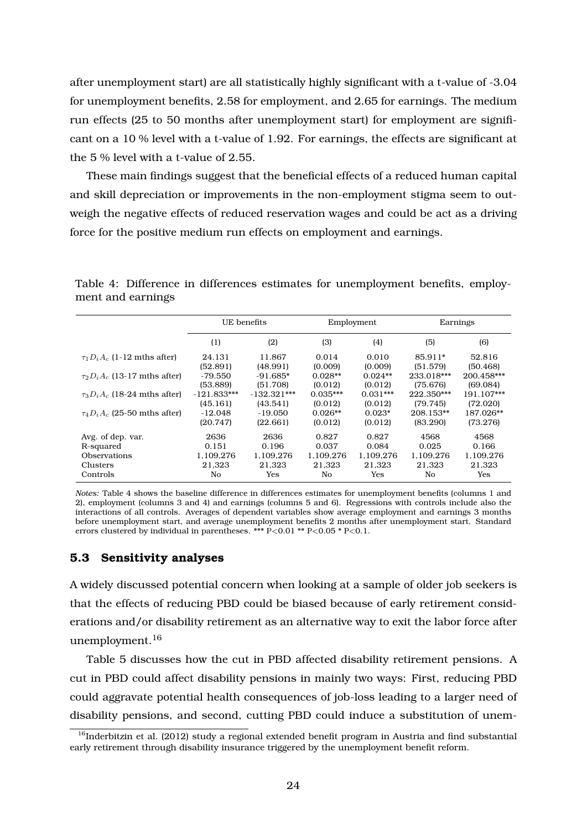after unemployment start) are all statistically highly significant with a t-value of -3.04 for unemployment benefits, 2.58 for employment, and 2.65 for earnings. The medium run effects (25 to 50 months after unemployment start) for employment are significant on a 10 % level with a t-value of 1.92. For earnings, the effects are significant at the 5 % level with a t-value of 2.55.

These main findings suggest that the beneficial effects of a reduced human capital and skill depreciation or improvements in the non-employment stigma seem to outweigh the negative effects of reduced reservation wages and could be act as a driving force for the positive medium run effects on employment and earnings.

Table 4: Difference in differences estimates for unemployment benefits, employment and earnings

|                                     | UE benefits   |               |            | Employment |            | Earnings   |
|-------------------------------------|---------------|---------------|------------|------------|------------|------------|
|                                     | (1)           | (2)           | (3)        | (4)        | (5)        | (6)        |
| $\tau_1 D_i A_c$ (1-12 mths after)  | 24.131        | 11.867        | 0.014      | 0.010      | 85.911*    | 52.816     |
|                                     | (52.891)      | (48.991)      | (0.009)    | (0.009)    | (51.579)   | (50.468)   |
| $\tau_2 D_i A_c$ (13-17 mths after) | $-79.550$     | $-91.685*$    | $0.028**$  | $0.024**$  | 233.018*** | 200.458*** |
|                                     | (53.889)      | (51.708)      | (0.012)    | (0.012)    | (75.676)   | (69.084)   |
| $\tau_3 D_i A_c$ (18-24 mths after) | $-121.833***$ | $-132.321***$ | $0.035***$ | $0.031***$ | 222.350*** | 191.107*** |
|                                     | (45.161)      | (43.541)      | (0.012)    | (0.012)    | (79.745)   | (72.020)   |
| $\tau_4 D_i A_c$ (25-50 mths after) | $-12.048$     | $-19.050$     | $0.026**$  | $0.023*$   | 208.153**  | 187.026**  |
|                                     | (20.747)      | (22.661)      | (0.012)    | (0.012)    | (83.290)   | (73.276)   |
| Avg. of dep. var.                   | 2636          | 2636          | 0.827      | 0.827      | 4568       | 4568       |
| R-squared                           | 0.151         | 0.196         | 0.037      | 0.084      | 0.025      | 0.166      |
| <b>Observations</b>                 | 1.109.276     | 1.109.276     | 1.109.276  | 1.109.276  | 1.109.276  | 1.109.276  |
| Clusters                            | 21.323        | 21.323        | 21.323     | 21.323     | 21.323     | 21.323     |
| Controls                            | No            | Yes           | No         | Yes        | No         | Yes        |

*Notes:* Table 4 shows the baseline difference in differences estimates for unemployment benefits (columns 1 and 2), employment (columns 3 and 4) and earnings (columns 5 and 6). Regressions with controls include also the interactions of all controls. Averages of dependent variables show average employment and earnings 3 months before unemployment start, and average unemployment benefits 2 months after unemployment start. Standard errors clustered by individual in parentheses. \*\*\* P*<*0.01 \*\* P*<*0.05 \* P*<*0.1.

## **5.3 Sensitivity analyses**

A widely discussed potential concern when looking at a sample of older job seekers is that the effects of reducing PBD could be biased because of early retirement considerations and/or disability retirement as an alternative way to exit the labor force after unemployment.<sup>16</sup>

Table 5 discusses how the cut in PBD affected disability retirement pensions. A cut in PBD could affect disability pensions in mainly two ways: First, reducing PBD could aggravate potential health consequences of job-loss leading to a larger need of disability pensions, and second, cutting PBD could induce a substitution of unem-

 $16$ Inderbitzin et al. (2012) study a regional extended benefit program in Austria and find substantial early retirement through disability insurance triggered by the unemployment benefit reform.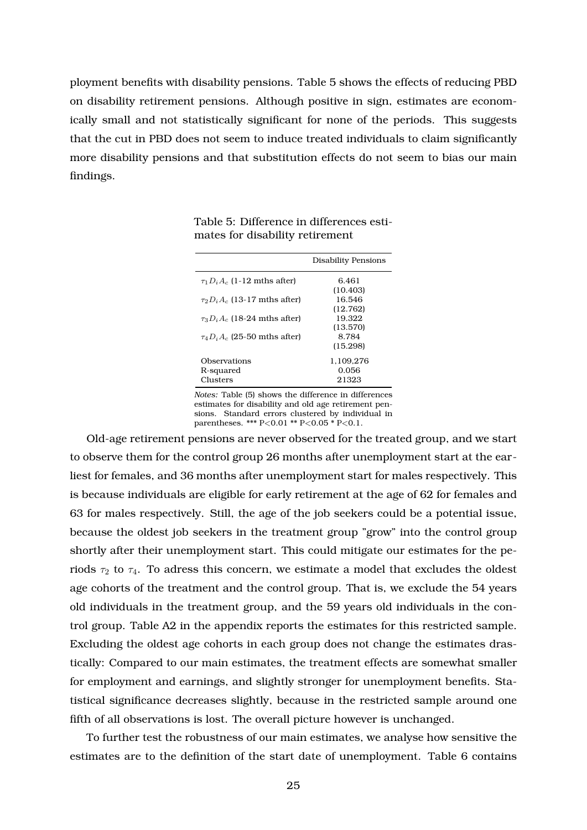ployment benefits with disability pensions. Table 5 shows the effects of reducing PBD on disability retirement pensions. Although positive in sign, estimates are economically small and not statistically significant for none of the periods. This suggests that the cut in PBD does not seem to induce treated individuals to claim significantly more disability pensions and that substitution effects do not seem to bias our main findings.

|                                     | Disability Pensions |
|-------------------------------------|---------------------|
| $\tau_1 D_i A_c$ (1-12 mths after)  | 6.461               |
|                                     | (10.403)            |
| $\tau_2 D_i A_c$ (13-17 mths after) | 16.546              |
|                                     | (12.762)            |
| $\tau_3 D_i A_c$ (18-24 mths after) | 19.322              |
|                                     | (13.570)            |
| $\tau_4 D_i A_c$ (25-50 mths after) | 8.784               |
|                                     | (15.298)            |
| Observations                        | 1,109,276           |
| R-squared                           | 0.056               |
| Clusters                            | 21323               |
|                                     |                     |

Table 5: Difference in differences estimates for disability retirement

*Notes:* Table (5) shows the difference in differences estimates for disability and old age retirement pensions. Standard errors clustered by individual in parentheses. \*\*\* P*<*0.01 \*\* P*<*0.05 \* P*<*0.1.

Old-age retirement pensions are never observed for the treated group, and we start to observe them for the control group 26 months after unemployment start at the earliest for females, and 36 months after unemployment start for males respectively. This is because individuals are eligible for early retirement at the age of 62 for females and 63 for males respectively. Still, the age of the job seekers could be a potential issue, because the oldest job seekers in the treatment group "grow" into the control group shortly after their unemployment start. This could mitigate our estimates for the periods  $\tau_2$  to  $\tau_4$ . To adress this concern, we estimate a model that excludes the oldest age cohorts of the treatment and the control group. That is, we exclude the 54 years old individuals in the treatment group, and the 59 years old individuals in the control group. Table A2 in the appendix reports the estimates for this restricted sample. Excluding the oldest age cohorts in each group does not change the estimates drastically: Compared to our main estimates, the treatment effects are somewhat smaller for employment and earnings, and slightly stronger for unemployment benefits. Statistical significance decreases slightly, because in the restricted sample around one fifth of all observations is lost. The overall picture however is unchanged.

To further test the robustness of our main estimates, we analyse how sensitive the estimates are to the definition of the start date of unemployment. Table 6 contains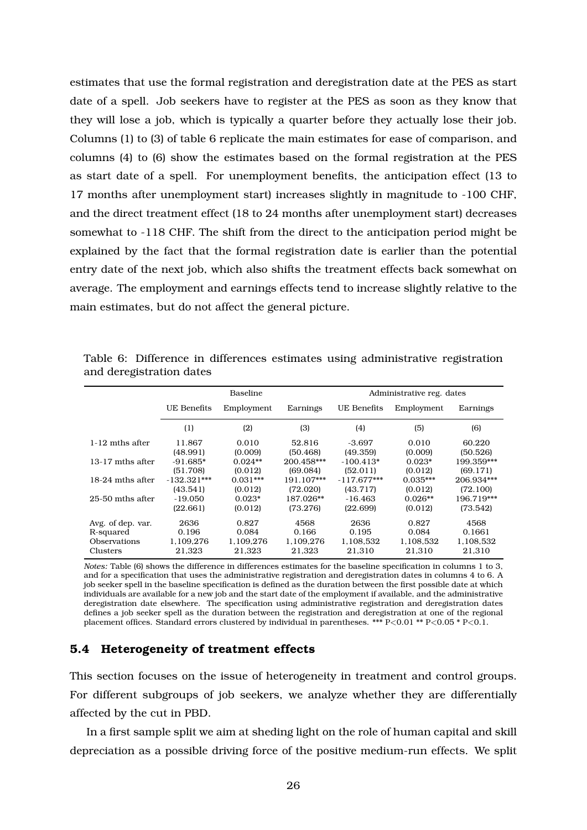estimates that use the formal registration and deregistration date at the PES as start date of a spell. Job seekers have to register at the PES as soon as they know that they will lose a job, which is typically a quarter before they actually lose their job. Columns (1) to (3) of table 6 replicate the main estimates for ease of comparison, and columns (4) to (6) show the estimates based on the formal registration at the PES as start date of a spell. For unemployment benefits, the anticipation effect (13 to 17 months after unemployment start) increases slightly in magnitude to -100 CHF, and the direct treatment effect (18 to 24 months after unemployment start) decreases somewhat to -118 CHF. The shift from the direct to the anticipation period might be explained by the fact that the formal registration date is earlier than the potential entry date of the next job, which also shifts the treatment effects back somewhat on average. The employment and earnings effects tend to increase slightly relative to the main estimates, but do not affect the general picture.

|                    |                    | Baseline   |            | Administrative reg. dates |            |            |
|--------------------|--------------------|------------|------------|---------------------------|------------|------------|
|                    | <b>UE Benefits</b> | Employment | Earnings   | UE Benefits               | Employment | Earnings   |
|                    | (1)                | (2)        | (3)        | (4)                       | (5)        | (6)        |
| 1-12 mths after    | 11.867             | 0.010      | 52.816     | $-3.697$                  | 0.010      | 60.220     |
|                    | (48.991)           | (0.009)    | (50.468)   | (49.359)                  | (0.009)    | (50.526)   |
| $13-17$ mths after | $-91.685*$         | $0.024**$  | 200.458*** | $-100.413*$               | $0.023*$   | 199.359*** |
|                    | (51.708)           | (0.012)    | (69.084)   | (52.011)                  | (0.012)    | (69.171)   |
| 18-24 mths after   | $-132.321***$      | $0.031***$ | 191.107*** | $-117.677***$             | $0.035***$ | 206.934*** |
|                    | (43.541)           | (0.012)    | (72.020)   | (43.717)                  | (0.012)    | (72.100)   |
| 25-50 mths after   | $-19.050$          | $0.023*$   | 187.026**  | $-16.463$                 | $0.026**$  | 196.719*** |
|                    | (22.661)           | (0.012)    | (73.276)   | (22.699)                  | (0.012)    | (73.542)   |
| Avg. of dep. var.  | 2636               | 0.827      | 4568       | 2636                      | 0.827      | 4568       |
| R-squared          | 0.196              | 0.084      | 0.166      | 0.195                     | 0.084      | 0.1661     |
| Observations       | 1,109,276          | 1.109.276  | 1.109.276  | 1,108,532                 | 1,108,532  | 1,108,532  |
| Clusters           | 21.323             | 21.323     | 21.323     | 21.310                    | 21.310     | 21.310     |

Table 6: Difference in differences estimates using administrative registration and deregistration dates

*Notes:* Table (6) shows the difference in differences estimates for the baseline specification in columns 1 to 3, and for a specification that uses the administrative registration and deregistration dates in columns 4 to 6. A job seeker spell in the baseline specification is defined as the duration between the first possible date at which individuals are available for a new job and the start date of the employment if available, and the administrative deregistration date elsewhere. The specification using administrative registration and deregistration dates defines a job seeker spell as the duration between the registration and deregistration at one of the regional placement offices. Standard errors clustered by individual in parentheses. \*\*\* P*<*0.01 \*\* P*<*0.05 \* P*<*0.1.

#### **5.4 Heterogeneity of treatment effects**

This section focuses on the issue of heterogeneity in treatment and control groups. For different subgroups of job seekers, we analyze whether they are differentially affected by the cut in PBD.

In a first sample split we aim at sheding light on the role of human capital and skill depreciation as a possible driving force of the positive medium-run effects. We split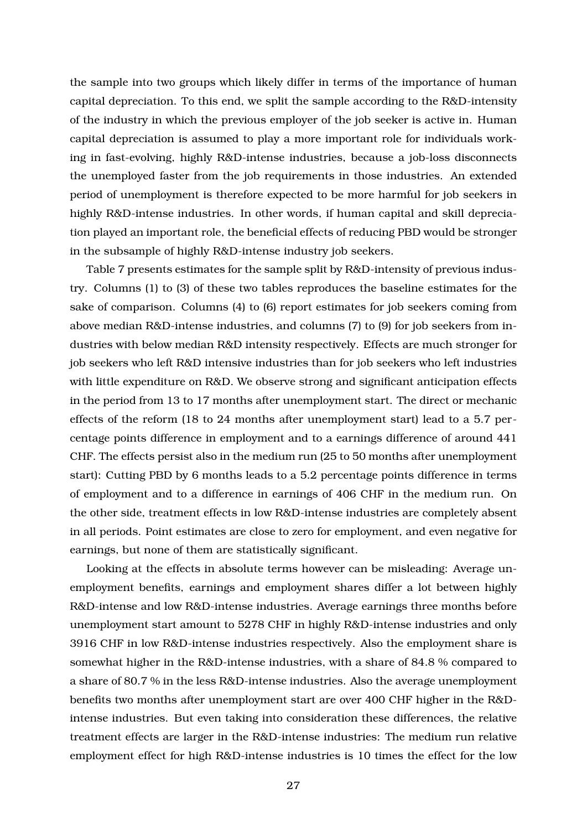the sample into two groups which likely differ in terms of the importance of human capital depreciation. To this end, we split the sample according to the R&D-intensity of the industry in which the previous employer of the job seeker is active in. Human capital depreciation is assumed to play a more important role for individuals working in fast-evolving, highly R&D-intense industries, because a job-loss disconnects the unemployed faster from the job requirements in those industries. An extended period of unemployment is therefore expected to be more harmful for job seekers in highly R&D-intense industries. In other words, if human capital and skill depreciation played an important role, the beneficial effects of reducing PBD would be stronger in the subsample of highly R&D-intense industry job seekers.

Table 7 presents estimates for the sample split by R&D-intensity of previous industry. Columns (1) to (3) of these two tables reproduces the baseline estimates for the sake of comparison. Columns (4) to (6) report estimates for job seekers coming from above median R&D-intense industries, and columns (7) to (9) for job seekers from industries with below median R&D intensity respectively. Effects are much stronger for job seekers who left R&D intensive industries than for job seekers who left industries with little expenditure on R&D. We observe strong and significant anticipation effects in the period from 13 to 17 months after unemployment start. The direct or mechanic effects of the reform (18 to 24 months after unemployment start) lead to a 5.7 percentage points difference in employment and to a earnings difference of around 441 CHF. The effects persist also in the medium run (25 to 50 months after unemployment start): Cutting PBD by 6 months leads to a 5.2 percentage points difference in terms of employment and to a difference in earnings of 406 CHF in the medium run. On the other side, treatment effects in low R&D-intense industries are completely absent in all periods. Point estimates are close to zero for employment, and even negative for earnings, but none of them are statistically significant.

Looking at the effects in absolute terms however can be misleading: Average unemployment benefits, earnings and employment shares differ a lot between highly R&D-intense and low R&D-intense industries. Average earnings three months before unemployment start amount to 5278 CHF in highly R&D-intense industries and only 3916 CHF in low R&D-intense industries respectively. Also the employment share is somewhat higher in the R&D-intense industries, with a share of 84.8 % compared to a share of 80.7 % in the less R&D-intense industries. Also the average unemployment benefits two months after unemployment start are over 400 CHF higher in the R&Dintense industries. But even taking into consideration these differences, the relative treatment effects are larger in the R&D-intense industries: The medium run relative employment effect for high R&D-intense industries is 10 times the effect for the low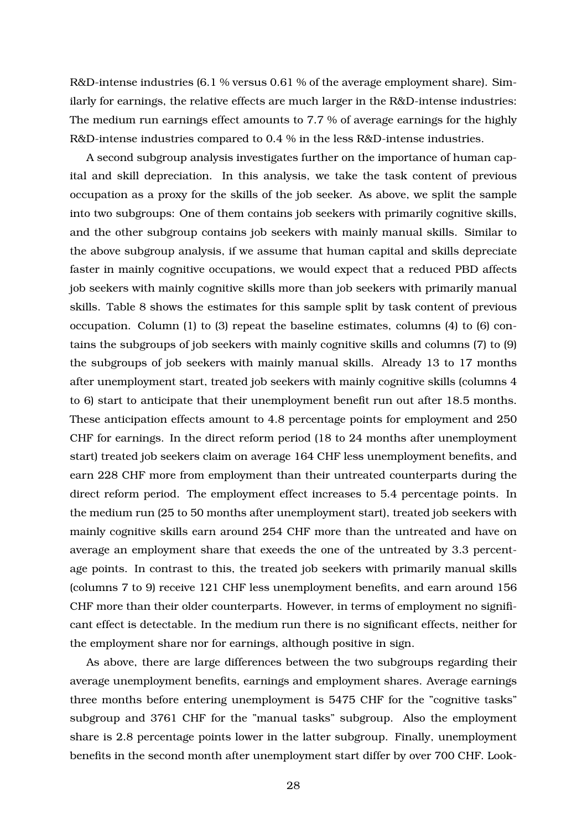R&D-intense industries (6.1 % versus 0.61 % of the average employment share). Similarly for earnings, the relative effects are much larger in the R&D-intense industries: The medium run earnings effect amounts to 7.7 % of average earnings for the highly R&D-intense industries compared to 0.4 % in the less R&D-intense industries.

A second subgroup analysis investigates further on the importance of human capital and skill depreciation. In this analysis, we take the task content of previous occupation as a proxy for the skills of the job seeker. As above, we split the sample into two subgroups: One of them contains job seekers with primarily cognitive skills, and the other subgroup contains job seekers with mainly manual skills. Similar to the above subgroup analysis, if we assume that human capital and skills depreciate faster in mainly cognitive occupations, we would expect that a reduced PBD affects job seekers with mainly cognitive skills more than job seekers with primarily manual skills. Table 8 shows the estimates for this sample split by task content of previous occupation. Column (1) to (3) repeat the baseline estimates, columns (4) to (6) contains the subgroups of job seekers with mainly cognitive skills and columns (7) to (9) the subgroups of job seekers with mainly manual skills. Already 13 to 17 months after unemployment start, treated job seekers with mainly cognitive skills (columns 4 to 6) start to anticipate that their unemployment benefit run out after 18.5 months. These anticipation effects amount to 4.8 percentage points for employment and 250 CHF for earnings. In the direct reform period (18 to 24 months after unemployment start) treated job seekers claim on average 164 CHF less unemployment benefits, and earn 228 CHF more from employment than their untreated counterparts during the direct reform period. The employment effect increases to 5.4 percentage points. In the medium run (25 to 50 months after unemployment start), treated job seekers with mainly cognitive skills earn around 254 CHF more than the untreated and have on average an employment share that exeeds the one of the untreated by 3.3 percentage points. In contrast to this, the treated job seekers with primarily manual skills (columns 7 to 9) receive 121 CHF less unemployment benefits, and earn around 156 CHF more than their older counterparts. However, in terms of employment no significant effect is detectable. In the medium run there is no significant effects, neither for the employment share nor for earnings, although positive in sign.

As above, there are large differences between the two subgroups regarding their average unemployment benefits, earnings and employment shares. Average earnings three months before entering unemployment is 5475 CHF for the "cognitive tasks" subgroup and 3761 CHF for the "manual tasks" subgroup. Also the employment share is 2.8 percentage points lower in the latter subgroup. Finally, unemployment benefits in the second month after unemployment start differ by over 700 CHF. Look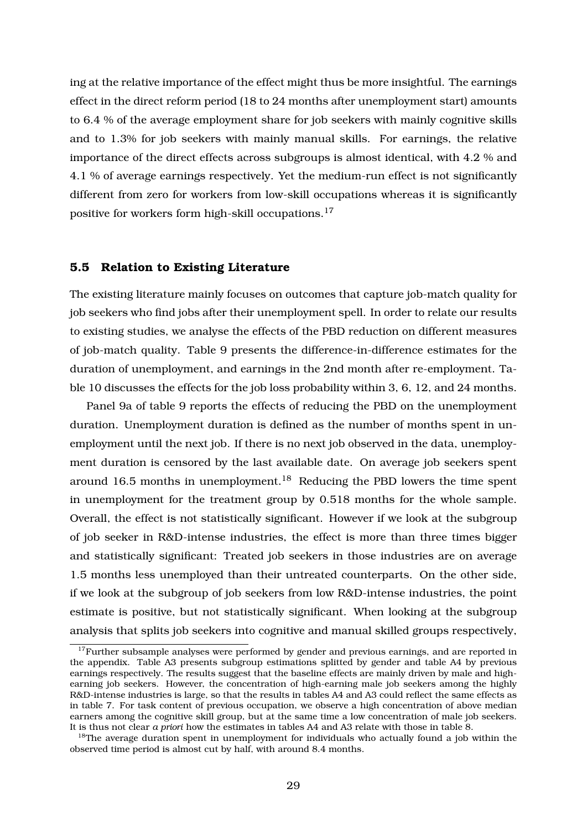ing at the relative importance of the effect might thus be more insightful. The earnings effect in the direct reform period (18 to 24 months after unemployment start) amounts to 6.4 % of the average employment share for job seekers with mainly cognitive skills and to 1.3% for job seekers with mainly manual skills. For earnings, the relative importance of the direct effects across subgroups is almost identical, with 4.2 % and 4.1 % of average earnings respectively. Yet the medium-run effect is not significantly different from zero for workers from low-skill occupations whereas it is significantly positive for workers form high-skill occupations.<sup>17</sup>

#### **5.5 Relation to Existing Literature**

The existing literature mainly focuses on outcomes that capture job-match quality for job seekers who find jobs after their unemployment spell. In order to relate our results to existing studies, we analyse the effects of the PBD reduction on different measures of job-match quality. Table 9 presents the difference-in-difference estimates for the duration of unemployment, and earnings in the 2nd month after re-employment. Table 10 discusses the effects for the job loss probability within 3, 6, 12, and 24 months.

Panel 9a of table 9 reports the effects of reducing the PBD on the unemployment duration. Unemployment duration is defined as the number of months spent in unemployment until the next job. If there is no next job observed in the data, unemployment duration is censored by the last available date. On average job seekers spent around 16.5 months in unemployment.<sup>18</sup> Reducing the PBD lowers the time spent in unemployment for the treatment group by 0.518 months for the whole sample. Overall, the effect is not statistically significant. However if we look at the subgroup of job seeker in R&D-intense industries, the effect is more than three times bigger and statistically significant: Treated job seekers in those industries are on average 1.5 months less unemployed than their untreated counterparts. On the other side, if we look at the subgroup of job seekers from low R&D-intense industries, the point estimate is positive, but not statistically significant. When looking at the subgroup analysis that splits job seekers into cognitive and manual skilled groups respectively,

 $17$  Further subsample analyses were performed by gender and previous earnings, and are reported in the appendix. Table A3 presents subgroup estimations splitted by gender and table A4 by previous earnings respectively. The results suggest that the baseline effects are mainly driven by male and highearning job seekers. However, the concentration of high-earning male job seekers among the highly R&D-intense industries is large, so that the results in tables A4 and A3 could reflect the same effects as in table 7. For task content of previous occupation, we observe a high concentration of above median earners among the cognitive skill group, but at the same time a low concentration of male job seekers. It is thus not clear *a priori* how the estimates in tables A4 and A3 relate with those in table 8.

<sup>&</sup>lt;sup>18</sup>The average duration spent in unemployment for individuals who actually found a job within the observed time period is almost cut by half, with around 8.4 months.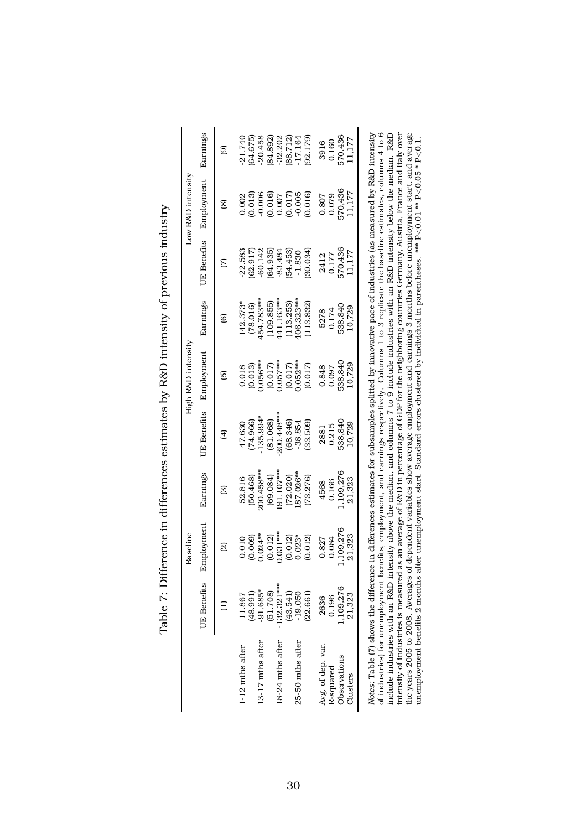|                   |                    | <b>Baseline</b>     |              |                     | High R&D intensity |            |                    | Low R&D intensity |           |
|-------------------|--------------------|---------------------|--------------|---------------------|--------------------|------------|--------------------|-------------------|-----------|
|                   | <b>UE</b> Benefits | Employment          | Earnings     | <b>UE Benefits</b>  | Employment         | Earnings   | <b>UE</b> Benefits | Employment        | Earnings  |
|                   |                    | $\overline{\omega}$ | ඕ            | $\overline{\oplus}$ | ⊡                  | ම          | Σ                  | @                 | මු        |
| 1-12 mths after   | 11.867             | 0.010               | 52.816       | 47.630              | 0.018              | 142.373*   | 22.583             | 0.002             | 21.740    |
|                   | (198.991)          | (0.009)             | (50.468)     | (74.966)            | (0.013)            | (78.016)   | 62.917             | 0.013             | (64.675)  |
| 13-17 mths after  | $-91.685*$         | $0.024***$          | $200.458***$ | $-135.994*$         | $0.056***$         | 454.783*** | $-60.142$          | 0.006             | 20.458    |
|                   | (51.708)           | (0.012)             | (69.084)     | (81.068)            | (0.017)            | (109.855)  | 64.935)            | (0.016)           | 84.892)   |
| 18-24 mths after  | $-132.321***$      | $0.031***$          | $91.107***$  | 200.448***          | $0.057***$         | 441.163*** | 83.484             | 0.007             | 32.202    |
|                   | (43.541)           | (0.012)             | (72.020)     | (68.346)            | (0.017)            | (113.253)  | 54.453)            | (0.017)           | 88.712    |
| 25-50 mths after  | $-19.050$          | $0.023*$            | 87.026**     | $-38.854$           | $0.052***$         | 406.323*** | $-1.830$           | $-0.005$          | $-17.164$ |
|                   | (22.661)           | (0.012)             | (73.276)     | (33.509)            | (0.017)            | (113.832)  | (30.034)           | (0.016)           | (92.179)  |
| Avg. of dep. var. | 2636               | 0.827               | 4568         | 2881                | 0.848              | 5278       | 2412               | 0.807             | 3916      |
| R-squared         | 0.196              | 0.084               | 0.166        | 0.215               | 0.097              | 0.174      | 0.177              | 0.079             | 0.160     |
| Observations      | 1,109,276          | ,109,276            | 109.276      | 538,840             | 538,840            | 538,840    | 570,436            | 570,436           | 570,436   |
| Clusters          | 21,323             | 21,323              | 21,323       | 10,729              | 10,729             | 10,729     | 1,177              | 11,177            | 11,177    |

| こうこうしゃ ひんこう にんこうこう こうしょう<br>(1) 1) 1) 1)<br>)<br> <br> <br>)<br>)                 |
|-----------------------------------------------------------------------------------|
| $\overline{D}$ $\Omega$ , $\Omega$ , $\overline{D}$<br>)<br>;<br>;<br>-<br>}<br>- |
| ue estimates hu P<br>.<br>2<br>2<br>)<br> <br>                                    |
|                                                                                   |
| しんそうきょう くち<br>Î                                                                   |
| ייווי<br>ו                                                                        |
| いっしょう<br>l                                                                        |

*Notes:* Table (7) shows the difference in differences estimates for subsamples splitted by innovative pace of industries (as measured by R&D intensity of industries) for unemployment benefits, employment, and earnings respectively. Columns 1 to 3 replicate the baseline estimates, columns 4 to 6 include industries with an R&D intensity above the median, and columns 7 to 9 include industries with an R&D intensity below the median. R&D intensity of industries is measured as an average of R&D in percentage of GDP for the neighboring countries Germany, Austria, France and Italy over the years 2005 to 2008. Averages of dependent variables show average employment and earnings 3 months before unemployment start, and average unemployment benefits 2 months after unemployment start. Standard errors clustered by individual in parentheses. \*\*\* P *<*0.01 \*\* P  $\leq 0.05 * P$ *<*0.1.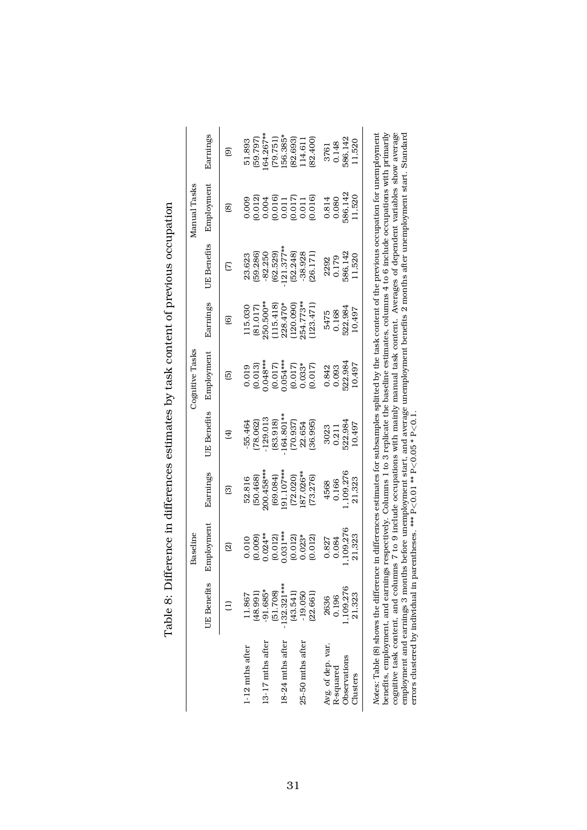|                   |                    | Baseline   |              |                     | Cognitive Tasks       |           |                         | Manual Tasks                                             |          |
|-------------------|--------------------|------------|--------------|---------------------|-----------------------|-----------|-------------------------|----------------------------------------------------------|----------|
|                   | <b>UE</b> Benefits | Employment | Earnings     | <b>UE</b> Benefits  | Employment            | Earnings  | <b>UE</b> Benefits      | Employment                                               | Earnings |
|                   |                    | බු         | గ్           | $\overline{\oplus}$ | 。                     | ම         |                         | ඕ                                                        | මු       |
| 1-12 mths after   | 1.867              | 0.010      | 52.816       | 55.464              | 0.019                 | 15.030    | 23.623                  | 0.009                                                    | 51.893   |
|                   | 48.991)            | (0.009)    | (50.468)     | 78.062)             | (0.013)               | (81.017)  | 59.286)                 | (0.012)                                                  | (59.797) |
| 13-17 mths after  | $-91.685*$         | $0.024***$ | 200.458***   | 129.013             | $0.048***$            | 250.500** | $-82.250$               | 0.004                                                    | 64.267** |
|                   | (51.708)           | (0.012)    | (69.084)     | (83.918)            |                       | (115.418) | (62.529)                |                                                          | (79.751) |
| 18-24 mths after  | $-132.321***$      | $0.031***$ | $.91.107***$ | 164.801**           | $(0.017)$<br>0.054*** | 228.470*  | $121.377***$            | $\begin{array}{c} (0.016) \\ 0.011 \end{array}$          | 56.385*  |
|                   | (43.541)           | (0.012)    | (72.020)     | (70.937)            |                       | 120.090)  |                         |                                                          | (82.693) |
| 25-50 mths after  | $-19.050$          | $0.023*$   | 87.026**     | 22.654              | $(0.017)$<br>$0.033*$ | 254.773** | $(52.248)$<br>$-38.928$ |                                                          | 114.611  |
|                   | (22.661)           | (0.012)    | (73.276)     | (36.995)            | (0.017)               | 123.471)  | (26.171)                | $\begin{array}{c} (0.017) \\ 0.011 \\ 0.016 \end{array}$ | (82.400) |
| Avg. of dep. var. | 2636               | 0.827      | 4568         | 3023                | 0.842                 | 5475      | 2292                    | 0.814                                                    | 3761     |
| R-squared         | 0.196              | 0.084      | 0.166        | 0.211               | 0.093                 | 0.168     | 0.179                   | 0.080                                                    | 0.148    |
| Observations      | 1.09.276           | ,109,276   | ,109,276     | 522,984             | 522,984               | 522,984   | 586,142                 | 586,142                                                  | 586,142  |
| Clusters          | 21,323             | 21,323     | 21,323       | 10,497              | 10,497                | 10,497    | 11,520                  | 1,520                                                    | 1,520    |

| )<br>)<br>)<br>)                                                                            |
|---------------------------------------------------------------------------------------------|
|                                                                                             |
| )<br>2<br>2<br>2                                                                            |
| <b>No Seminals</b>                                                                          |
|                                                                                             |
| Tolde & Difference in difference estimates by task content of previous occupation<br>ッソ・コート |
|                                                                                             |

*Notes:* Table (8) shows the difference in differences estimates for subsamples splitted by the task content of the previous occupation for unemployment benefits, employment, and earnings respectively. Columns 1 to 3 replicate the baseline estimates, columns 4 to 6 include occupations with primarily cognitive task content, and columns 7 to 9 include occupations with mainly manual task content. Averages of dependent variables show average employment and earnings 3 months before unemployment start, and average unemployment benefits 2 months after unemployment start. Standard *<*0.1.  $<$  0.05  $*$  P *<*0.01 \*\* P errors clustered by individual in parentheses. \*\*\* P ž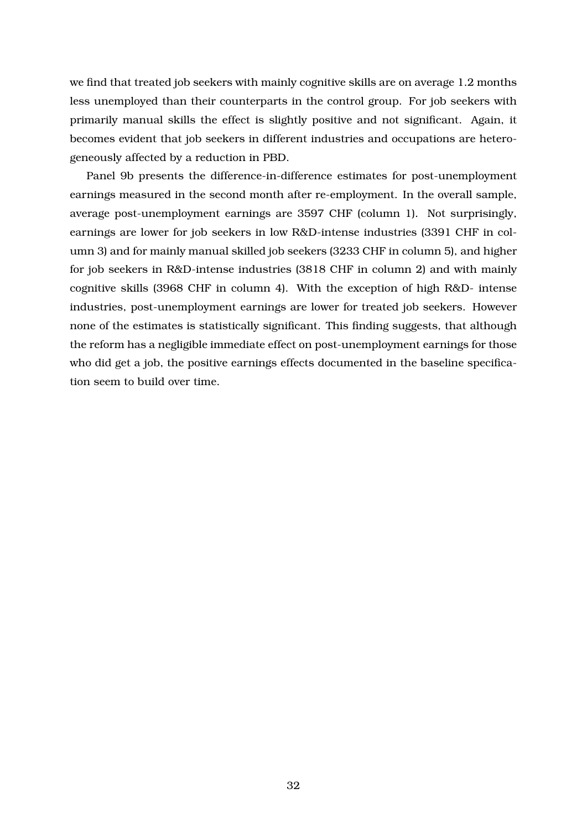we find that treated job seekers with mainly cognitive skills are on average 1.2 months less unemployed than their counterparts in the control group. For job seekers with primarily manual skills the effect is slightly positive and not significant. Again, it becomes evident that job seekers in different industries and occupations are heterogeneously affected by a reduction in PBD.

Panel 9b presents the difference-in-difference estimates for post-unemployment earnings measured in the second month after re-employment. In the overall sample, average post-unemployment earnings are 3597 CHF (column 1). Not surprisingly, earnings are lower for job seekers in low R&D-intense industries (3391 CHF in column 3) and for mainly manual skilled job seekers (3233 CHF in column 5), and higher for job seekers in R&D-intense industries (3818 CHF in column 2) and with mainly cognitive skills (3968 CHF in column 4). With the exception of high R&D- intense industries, post-unemployment earnings are lower for treated job seekers. However none of the estimates is statistically significant. This finding suggests, that although the reform has a negligible immediate effect on post-unemployment earnings for those who did get a job, the positive earnings effects documented in the baseline specification seem to build over time.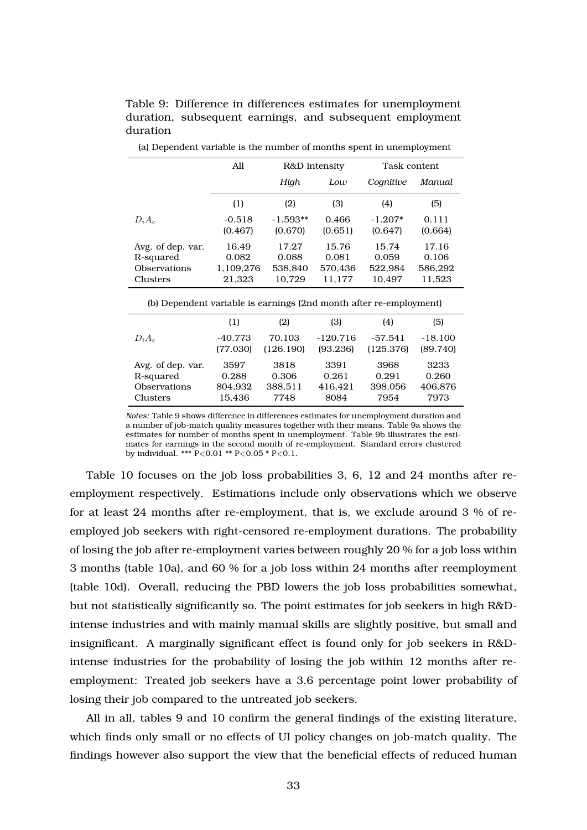|                                                                    | All                 |                       | R&D intensity    | Task content         |                  |  |  |  |
|--------------------------------------------------------------------|---------------------|-----------------------|------------------|----------------------|------------------|--|--|--|
|                                                                    |                     | High                  | Low              | Cognitive            | Manual           |  |  |  |
|                                                                    | (1)                 | (2)                   | (3)              | (4)                  | (5)              |  |  |  |
| $D_iA_c$                                                           | $-0.518$<br>(0.467) | $-1.593**$<br>(0.670) | 0.466<br>(0.651) | $-1.207*$<br>(0.647) | 0.111<br>(0.664) |  |  |  |
| Avg. of dep. var.                                                  | 16.49               | 17.27                 | 15.76            | 15.74                | 17.16            |  |  |  |
| R-squared<br><b>Observations</b>                                   | 0.082<br>1,109,276  | 0.088<br>538,840      | 0.081<br>570,436 | 0.059<br>522,984     | 0.106<br>586,292 |  |  |  |
| Clusters                                                           | 21,323              | 10,729                | 11,177           | 10,497               | 11,523           |  |  |  |
| (b) Dependent variable is earnings (2nd month after re-employment) |                     |                       |                  |                      |                  |  |  |  |
|                                                                    | (1)                 | (2)                   | (3)              | (4)                  | (5)              |  |  |  |
| $D_iA_c$                                                           | $-40.773$           | 70.103                | $-120.716$       | $-57.541$            | $-18.100$        |  |  |  |
|                                                                    | (77.030)            | (126.190)             | (93.236)         | (125.376)            | (89.740)         |  |  |  |
| Avg. of dep. var.                                                  | 3597                | 3818                  | 3391             | 3968                 | 3233             |  |  |  |
| R-squared                                                          | 0.288               | 0.306                 | 0.261            | 0.291                | 0.260            |  |  |  |
| Observations                                                       | 804,932             | 388,511               | 416,421          | 398,056              | 406,876          |  |  |  |
| Clusters                                                           | 15,436              | 7748                  | 8084             | 7954                 | 7973             |  |  |  |

(a) Dependent variable is the number of months spent in unemployment

duration

Table 9: Difference in differences estimates for unemployment duration, subsequent earnings, and subsequent employment

*Notes:* Table 9 shows difference in differences estimates for unemployment duration and a number of job-match quality measures together with their means. Table 9a shows the estimates for number of months spent in unemployment. Table 9b illustrates the estimates for earnings in the second month of re-employment. Standard errors clustered by individual. \*\*\* P*<*0.01 \*\* P*<*0.05 \* P*<*0.1.

Table 10 focuses on the job loss probabilities 3, 6, 12 and 24 months after reemployment respectively. Estimations include only observations which we observe for at least 24 months after re-employment, that is, we exclude around 3 % of reemployed job seekers with right-censored re-employment durations. The probability of losing the job after re-employment varies between roughly 20 % for a job loss within 3 months (table 10a), and 60 % for a job loss within 24 months after reemployment (table 10d). Overall, reducing the PBD lowers the job loss probabilities somewhat, but not statistically significantly so. The point estimates for job seekers in high R&Dintense industries and with mainly manual skills are slightly positive, but small and insignificant. A marginally significant effect is found only for job seekers in R&Dintense industries for the probability of losing the job within 12 months after reemployment: Treated job seekers have a 3.6 percentage point lower probability of losing their job compared to the untreated job seekers.

All in all, tables 9 and 10 confirm the general findings of the existing literature, which finds only small or no effects of UI policy changes on job-match quality. The findings however also support the view that the beneficial effects of reduced human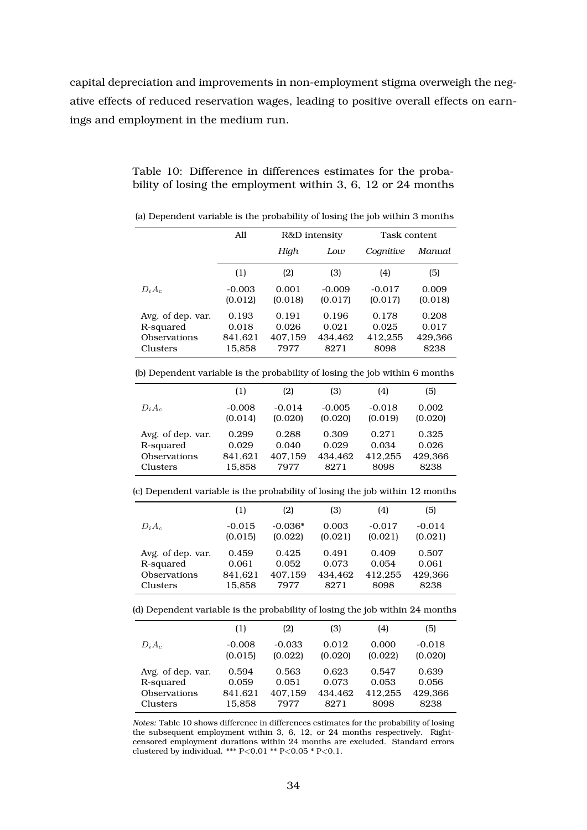capital depreciation and improvements in non-employment stigma overweigh the negative effects of reduced reservation wages, leading to positive overall effects on earnings and employment in the medium run.

|                   | All                 |                  | R&D intensity       | Task content        |                  |
|-------------------|---------------------|------------------|---------------------|---------------------|------------------|
|                   |                     | High             | Low                 | Cognitive           | Manual           |
|                   | (1)                 | (2)              | (3)                 | (4)                 | (5)              |
| $D_iA_c$          | $-0.003$<br>(0.012) | 0.001<br>(0.018) | $-0.009$<br>(0.017) | $-0.017$<br>(0.017) | 0.009<br>(0.018) |
| Avg. of dep. var. | 0.193               | 0.191            | 0.196               | 0.178               | 0.208            |
| R-squared         | 0.018               | 0.026            | 0.021               | 0.025               | 0.017            |
| Observations      | 841,621             | 407,159          | 434.462             | 412,255             | 429,366          |
| Clusters          | 15,858              | 7977             | 8271                | 8098                | 8238             |
|                   |                     |                  |                     |                     |                  |

(a) Dependent variable is the probability of losing the job within 3 months

Table 10: Difference in differences estimates for the probability of losing the employment within 3, 6, 12 or 24 months

|  |  | (b) Dependent variable is the probability of losing the job within 6 months |  |  |  |
|--|--|-----------------------------------------------------------------------------|--|--|--|
|  |  |                                                                             |  |  |  |

|                     | (1)      | (2)      | (3)      | (4)      | (5)     |
|---------------------|----------|----------|----------|----------|---------|
| $D_iA_c$            | $-0.008$ | $-0.014$ | $-0.005$ | $-0.018$ | 0.002   |
|                     | (0.014)  | (0.020)  | (0.020)  | (0.019)  | (0.020) |
| Avg. of dep. var.   | 0.299    | 0.288    | 0.309    | 0.271    | 0.325   |
| R-squared           | 0.029    | 0.040    | 0.029    | 0.034    | 0.026   |
| <b>Observations</b> | 841,621  | 407,159  | 434.462  | 412,255  | 429,366 |
| Clusters            | 15,858   | 7977     | 8271     | 8098     | 8238    |
|                     |          |          |          |          |         |

(c) Dependent variable is the probability of losing the job within 12 months

|                   | (1)      | (2)       | (3)     | (4)      | (5)      |
|-------------------|----------|-----------|---------|----------|----------|
| $D_iA_c$          | $-0.015$ | $-0.036*$ | 0.003   | $-0.017$ | $-0.014$ |
|                   | (0.015)  | (0.022)   | (0.021) | (0.021)  | (0.021)  |
| Avg. of dep. var. | 0.459    | 0.425     | 0.491   | 0.409    | 0.507    |
| R-squared         | 0.061    | 0.052     | 0.073   | 0.054    | 0.061    |
| Observations      | 841,621  | 407,159   | 434.462 | 412.255  | 429,366  |
| Clusters          | 15.858   | 7977      | 8271    | 8098     | 8238     |

(d) Dependent variable is the probability of losing the job within 24 months

| (1)      | (2)      | (3)     | (4)     | (5)      |
|----------|----------|---------|---------|----------|
| $-0.008$ | $-0.033$ | 0.012   | 0.000   | $-0.018$ |
| (0.015)  | (0.022)  | (0.020) | (0.022) | (0.020)  |
| 0.594    | 0.563    | 0.623   | 0.547   | 0.639    |
| 0.059    | 0.051    | 0.073   | 0.053   | 0.056    |
| 841,621  | 407,159  | 434.462 | 412.255 | 429,366  |
| 15,858   | 7977     | 8271    | 8098    | 8238     |
|          |          |         |         |          |

*Notes:* Table 10 shows difference in differences estimates for the probability of losing the subsequent employment within 3, 6, 12, or 24 months respectively. Rightcensored employment durations within 24 months are excluded. Standard errors clustered by individual. \*\*\* P*<*0.01 \*\* P*<*0.05 \* P*<*0.1.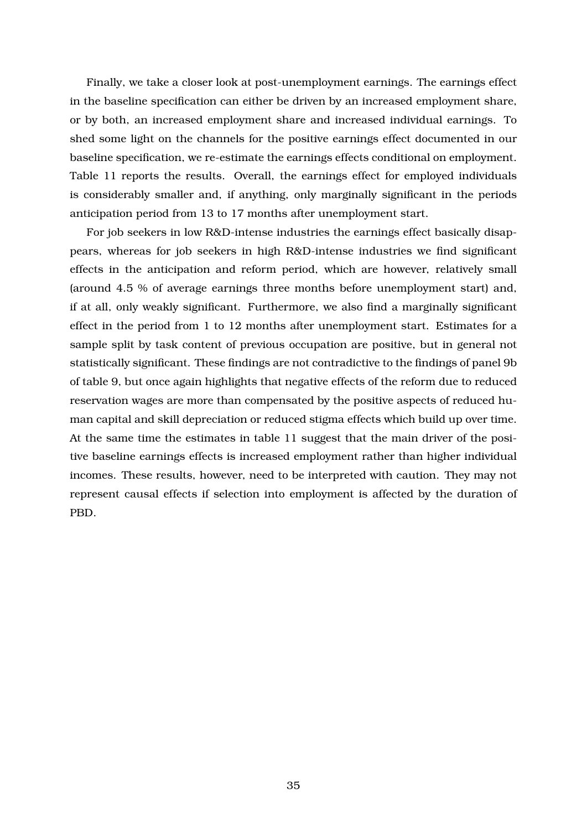Finally, we take a closer look at post-unemployment earnings. The earnings effect in the baseline specification can either be driven by an increased employment share, or by both, an increased employment share and increased individual earnings. To shed some light on the channels for the positive earnings effect documented in our baseline specification, we re-estimate the earnings effects conditional on employment. Table 11 reports the results. Overall, the earnings effect for employed individuals is considerably smaller and, if anything, only marginally significant in the periods anticipation period from 13 to 17 months after unemployment start.

For job seekers in low R&D-intense industries the earnings effect basically disappears, whereas for job seekers in high R&D-intense industries we find significant effects in the anticipation and reform period, which are however, relatively small (around 4.5 % of average earnings three months before unemployment start) and, if at all, only weakly significant. Furthermore, we also find a marginally significant effect in the period from 1 to 12 months after unemployment start. Estimates for a sample split by task content of previous occupation are positive, but in general not statistically significant. These findings are not contradictive to the findings of panel 9b of table 9, but once again highlights that negative effects of the reform due to reduced reservation wages are more than compensated by the positive aspects of reduced human capital and skill depreciation or reduced stigma effects which build up over time. At the same time the estimates in table 11 suggest that the main driver of the positive baseline earnings effects is increased employment rather than higher individual incomes. These results, however, need to be interpreted with caution. They may not represent causal effects if selection into employment is affected by the duration of PBD.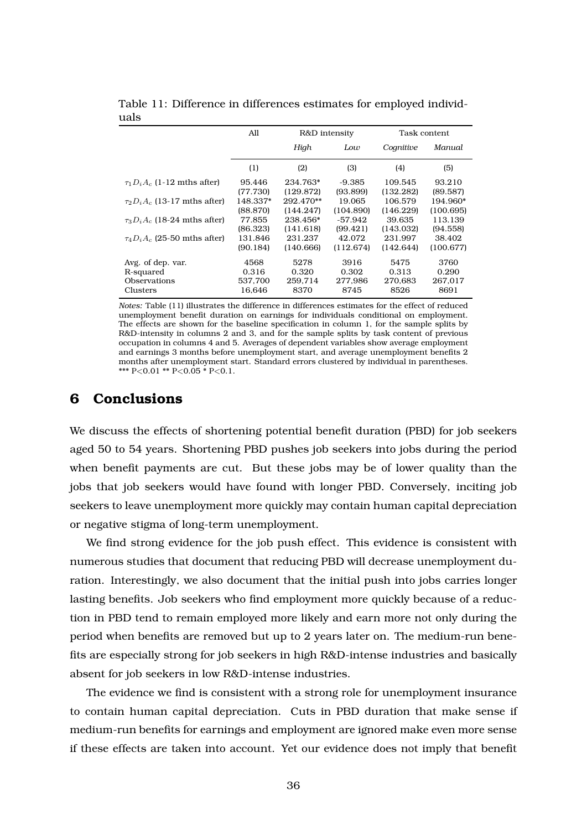|                                     | All      | R&D intensity |           |           | Task content |
|-------------------------------------|----------|---------------|-----------|-----------|--------------|
|                                     |          | High          | Low       | Cognitive | Manual       |
|                                     | (1)      | (2)           | (3)       | (4)       | (5)          |
| $\tau_1 D_i A_c$ (1-12 mths after)  | 95.446   | 234.763*      | $-9.385$  | 109.545   | 93.210       |
|                                     | (77.730) | (129.872)     | (93.899)  | (132.282) | (89.587)     |
| $\tau_2 D_i A_c$ (13-17 mths after) | 148.337* | 292.470**     | 19.065    | 106.579   | 194.960*     |
|                                     | (88.870) | (144.247)     | (104.890) | (146.229) | (100.695)    |
| $\tau_3 D_i A_c$ (18-24 mths after) | 77.855   | 238.456*      | -57.942   | 39.635    | 113.139      |
|                                     | (86.323) | (141.618)     | (99.421)  | (143.032) | (94.558)     |
| $\tau_4 D_i A_c$ (25-50 mths after) | 131.846  | 231.237       | 42.072    | 231.997   | 38.402       |
|                                     | (90.184) | (140.666)     | (112.674) | (142.644) | (100.677)    |
| Avg. of dep. var.                   | 4568     | 5278          | 3916      | 5475      | 3760         |
| R-squared                           | 0.316    | 0.320         | 0.302     | 0.313     | 0.290        |
| Observations                        | 537.700  | 259.714       | 277.986   | 270.683   | 267,017      |
| Clusters                            | 16.646   | 8370          | 8745      | 8526      | 8691         |

Table 11: Difference in differences estimates for employed individuals

*Notes:* Table (11) illustrates the difference in differences estimates for the effect of reduced unemployment benefit duration on earnings for individuals conditional on employment. The effects are shown for the baseline specification in column 1, for the sample splits by R&D-intensity in columns 2 and 3, and for the sample splits by task content of previous occupation in columns 4 and 5. Averages of dependent variables show average employment and earnings 3 months before unemployment start, and average unemployment benefits 2 months after unemployment start. Standard errors clustered by individual in parentheses. \*\*\* P*<*0.01 \*\* P*<*0.05 \* P*<*0.1.

# **6 Conclusions**

We discuss the effects of shortening potential benefit duration (PBD) for job seekers aged 50 to 54 years. Shortening PBD pushes job seekers into jobs during the period when benefit payments are cut. But these jobs may be of lower quality than the jobs that job seekers would have found with longer PBD. Conversely, inciting job seekers to leave unemployment more quickly may contain human capital depreciation or negative stigma of long-term unemployment.

We find strong evidence for the job push effect. This evidence is consistent with numerous studies that document that reducing PBD will decrease unemployment duration. Interestingly, we also document that the initial push into jobs carries longer lasting benefits. Job seekers who find employment more quickly because of a reduction in PBD tend to remain employed more likely and earn more not only during the period when benefits are removed but up to 2 years later on. The medium-run benefits are especially strong for job seekers in high R&D-intense industries and basically absent for job seekers in low R&D-intense industries.

The evidence we find is consistent with a strong role for unemployment insurance to contain human capital depreciation. Cuts in PBD duration that make sense if medium-run benefits for earnings and employment are ignored make even more sense if these effects are taken into account. Yet our evidence does not imply that benefit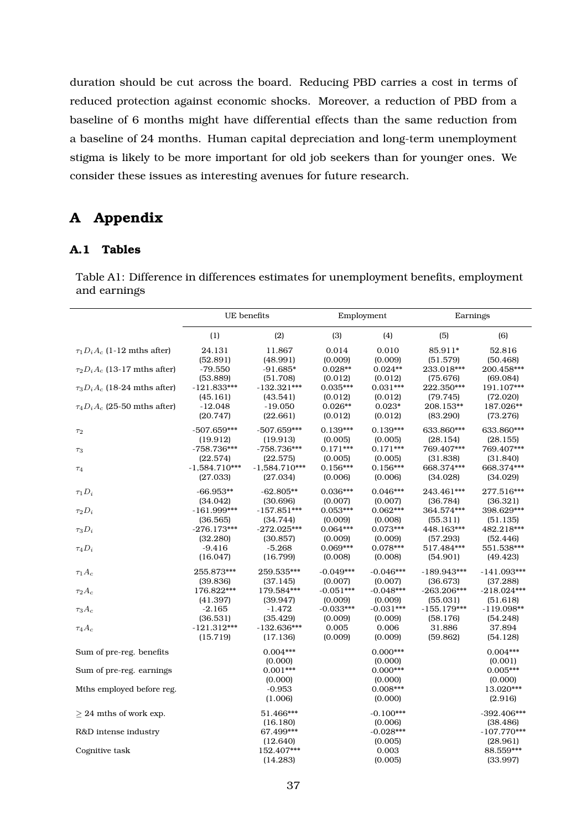duration should be cut across the board. Reducing PBD carries a cost in terms of reduced protection against economic shocks. Moreover, a reduction of PBD from a baseline of 6 months might have differential effects than the same reduction from a baseline of 24 months. Human capital depreciation and long-term unemployment stigma is likely to be more important for old job seekers than for younger ones. We consider these issues as interesting avenues for future research.

# **A Appendix**

## **A.1 Tables**

Table A1: Difference in differences estimates for unemployment benefits, employment and earnings

|                                     | UE benefits     |                        |             | Employment             | Earnings      |                           |
|-------------------------------------|-----------------|------------------------|-------------|------------------------|---------------|---------------------------|
|                                     | (1)             | (2)                    | (3)         | (4)                    | (5)           | (6)                       |
| $\tau_1 D_i A_c$ (1-12 mths after)  | 24.131          | 11.867                 | 0.014       | 0.010                  | 85.911*       | 52.816                    |
|                                     | (52.891)        | (48.991)               | (0.009)     | (0.009)                | (51.579)      | (50.468)                  |
| $\tau_2 D_i A_c$ (13-17 mths after) | $-79.550$       | $-91.685*$             | $0.028**$   | $0.024**$              | 233.018***    | 200.458***                |
|                                     | (53.889)        | (51.708)               | (0.012)     | (0.012)                | (75.676)      | (69.084)                  |
| $\tau_3 D_i A_c$ (18-24 mths after) | $-121.833***$   | $-132.321***$          | $0.035***$  | $0.031***$             | 222.350***    | 191.107***                |
|                                     | (45.161)        | (43.541)               | (0.012)     | (0.012)                | (79.745)      | (72.020)                  |
| $\tau_4 D_i A_c$ (25-50 mths after) | $-12.048$       | $-19.050$              | $0.026**$   | $0.023*$               | 208.153**     | 187.026**                 |
|                                     | (20.747)        | (22.661)               | (0.012)     | (0.012)                | (83.290)      | (73.276)                  |
| $\tau_2$                            | $-507.659***$   | $-507.659***$          | $0.139***$  | $0.139***$             | 633.860***    | 633.860***                |
| $\tau_3$                            | (19.912)        | (19.913)               | (0.005)     | (0.005)                | (28.154)      | (28.155)                  |
|                                     | $-758.736***$   | $-758.736***$          | $0.171***$  | $0.171***$             | 769.407***    | 769.407***                |
| $\tau_4$                            | (22.574)        | (22.575)               | (0.005)     | (0.005)                | (31.838)      | (31.840)                  |
|                                     | $-1,584.710***$ | $-1,584.710***$        | $0.156***$  | $0.156***$             | 668.374***    | 668.374***                |
|                                     | (27.033)        | (27.034)               | (0.006)     | (0.006)                | (34.028)      | (34.029)                  |
| $\tau_1 D_i$                        | $-66.953**$     | $-62.805**$            | $0.036***$  | $0.046***$             | 243.461***    | 277.516***                |
| $\tau_2 D_i$                        | (34.042)        | (30.696)               | (0.007)     | (0.007)                | (36.784)      | (36.321)                  |
|                                     | $-161.999***$   | $-157.851***$          | $0.053***$  | $0.062***$             | 364.574***    | 398.629***                |
| $\tau_3D_i$                         | (36.565)        | (34.744)               | (0.009)     | (0.008)                | (55.311)      | (51.135)                  |
|                                     | $-276.173***$   | $-272.025***$          | $0.064***$  | $0.073***$             | 448.163***    | 482.218***                |
| $\tau_4D_i$                         | (32.280)        | (30.857)               | (0.009)     | (0.009)                | (57.293)      | (52.446)                  |
|                                     | $-9.416$        | $-5.268$               | $0.069***$  | $0.078***$             | 517.484***    | 551.538***                |
|                                     | (16.047)        | (16.799)               | (0.008)     | (0.008)                | (54.901)      | (49.423)                  |
| $\tau_1 A_c$                        | 255.873***      | 259.535***             | $-0.049***$ | $-0.046***$            | $-189.943***$ | $-141.093***$             |
|                                     | (39.836)        | (37.145)               | (0.007)     | (0.007)                | (36.673)      | (37.288)                  |
| $\tau_2A_c$                         | 176.822***      | 179.584***             | $-0.051***$ | $-0.048***$            | $-263.206***$ | $-218.024***$             |
|                                     | (41.397)        | (39.947)               | (0.009)     | (0.009)                | (55.031)      | (51.618)                  |
| $\tau_3 A_c$                        | $-2.165$        | $-1.472$               | $-0.033***$ | $-0.031***$            | $-155.179***$ | $-119.098**$              |
|                                     | (36.531)        | (35.429)               | (0.009)     | (0.009)                | (58.176)      | (54.248)                  |
| $\tau_4A_c$                         | $-121.312***$   | $-132.636***$          | 0.005       | 0.006                  | 31.886        | 37.894                    |
|                                     | (15.719)        | (17.136)               | (0.009)     | (0.009)                | (59.862)      | (54.128)                  |
| Sum of pre-reg. benefits            |                 | $0.004***$<br>(0.000)  |             | $0.000***$<br>(0.000)  |               | $0.004***$<br>(0.001)     |
| Sum of pre-reg. earnings            |                 | $0.001***$<br>(0.000)  |             | $0.000***$<br>(0.000)  |               | $0.005***$<br>(0.000)     |
| Mths employed before reg.           |                 | $-0.953$<br>(1.006)    |             | $0.008***$<br>(0.000)  |               | 13.020***<br>(2.916)      |
| $\geq$ 24 mths of work exp.         |                 | 51.466***<br>(16.180)  |             | $-0.100***$<br>(0.006) |               | $-392.406***$<br>(38.486) |
| R&D intense industry                |                 | 67.499***<br>(12.640)  |             | $-0.028***$<br>(0.005) |               | $-107.770***$<br>(28.961) |
| Cognitive task                      |                 | 152.407***<br>(14.283) |             | 0.003<br>(0.005)       |               | 88.559***<br>(33.997)     |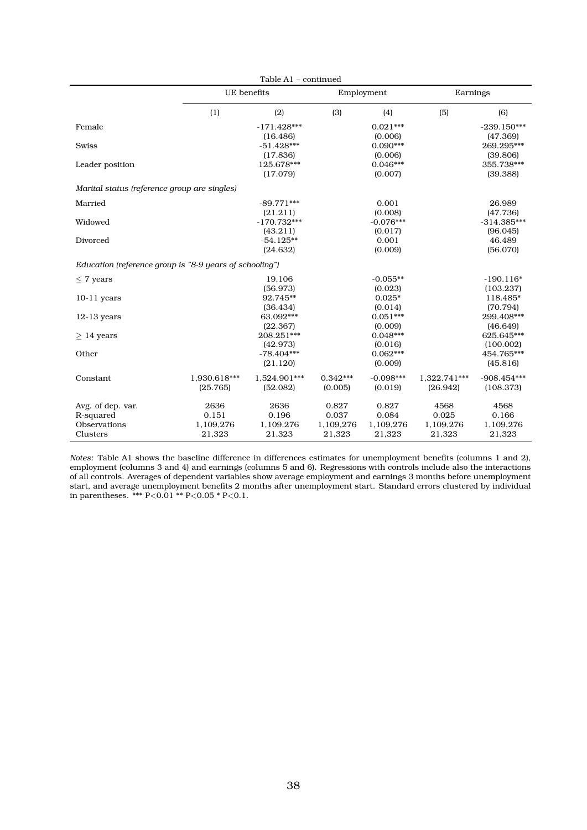|                                                         |              | Table A1 - continued |            |             |              |               |
|---------------------------------------------------------|--------------|----------------------|------------|-------------|--------------|---------------|
|                                                         | UE benefits  |                      |            | Employment  | Earnings     |               |
|                                                         | (1)          | (2)                  | (3)        | (4)         | (5)          | (6)           |
| Female                                                  |              | $-171.428***$        |            | $0.021***$  |              | $-239.150***$ |
|                                                         |              | (16.486)             |            | (0.006)     |              | (47.369)      |
| <b>Swiss</b>                                            |              | $-51.428***$         |            | $0.090***$  |              | 269.295***    |
|                                                         |              | (17.836)             |            | (0.006)     |              | (39.806)      |
| Leader position                                         |              | 125.678***           |            | $0.046***$  |              | 355.738***    |
|                                                         |              | (17.079)             |            | (0.007)     |              | (39.388)      |
| Marital status (reference group are singles)            |              |                      |            |             |              |               |
| Married                                                 |              | $-89.771***$         |            | 0.001       |              | 26.989        |
|                                                         |              | (21.211)             |            | (0.008)     |              | (47.736)      |
| Widowed                                                 |              | $-170.732***$        |            | $-0.076***$ |              | $-314.385***$ |
|                                                         |              | (43.211)             |            | (0.017)     |              | (96.045)      |
| Divorced                                                |              | $-54.125**$          |            | 0.001       |              | 46.489        |
|                                                         |              | (24.632)             |            | (0.009)     |              | (56.070)      |
| Education (reference group is "8-9 years of schooling") |              |                      |            |             |              |               |
| $\leq$ 7 years                                          |              | 19.106               |            | $-0.055**$  |              | $-190.116*$   |
|                                                         |              | (56.973)             |            | (0.023)     |              | (103.237)     |
| $10-11$ years                                           |              | 92.745**             |            | $0.025*$    |              | 118.485*      |
|                                                         |              | (36.434)             |            | (0.014)     |              | (70.794)      |
| $12-13$ years                                           |              | 63.092***            |            | $0.051***$  |              | 299.408***    |
|                                                         |              | (22.367)             |            | (0.009)     |              | (46.649)      |
| $> 14$ years                                            |              | 208.251***           |            | $0.048***$  |              | 625.645***    |
|                                                         |              | (42.973)             |            | (0.016)     |              | (100.002)     |
| Other                                                   |              | $-78.404***$         |            | $0.062***$  |              | 454.765***    |
|                                                         |              | (21.120)             |            | (0.009)     |              | (45.816)      |
|                                                         | 1.930.618*** |                      | $0.342***$ | $-0.098***$ | 1.322.741*** |               |
| Constant                                                |              | 1,524.901***         |            |             |              | $-908.454***$ |
|                                                         | (25.765)     | (52.082)             | (0.005)    | (0.019)     | (26.942)     | (108.373)     |
| Avg. of dep. var.                                       | 2636         | 2636                 | 0.827      | 0.827       | 4568         | 4568          |
| R-squared                                               | 0.151        | 0.196                | 0.037      | 0.084       | 0.025        | 0.166         |
| Observations                                            | 1,109,276    | 1,109,276            | 1,109,276  | 1,109,276   | 1,109,276    | 1,109,276     |
| Clusters                                                | 21,323       | 21,323               | 21,323     | 21,323      | 21,323       | 21,323        |
|                                                         |              |                      |            |             |              |               |

*Notes:* Table A1 shows the baseline difference in differences estimates for unemployment benefits (columns 1 and 2), employment (columns 3 and 4) and earnings (columns 5 and 6). Regressions with controls include also the interactions of all controls. Averages of dependent variables show average employment and earnings 3 months before unemployment start, and average unemployment benefits 2 months after unemployment start. Standard errors clustered by individual in parentheses. \*\*\* P*<*0.01 \*\* P*<*0.05 \* P*<*0.1.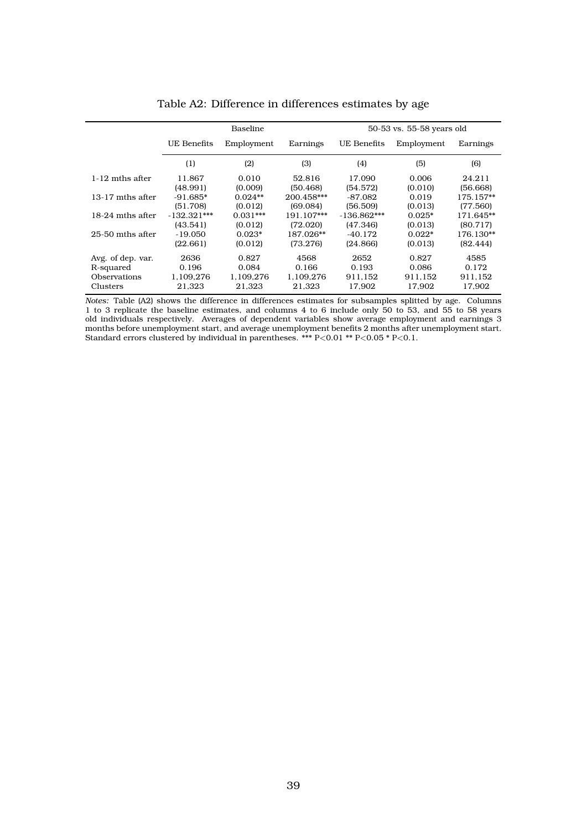|                    |               | <b>Baseline</b> |            |               | 50-53 vs. 55-58 years old |           |
|--------------------|---------------|-----------------|------------|---------------|---------------------------|-----------|
|                    | UE Benefits   | Employment      | Earnings   | UE Benefits   | Employment                | Earnings  |
|                    | (1)           | (2)             | (3)        | (4)           | (5)                       | (6)       |
| 1-12 mths after    | 11.867        | 0.010           | 52.816     | 17.090        | 0.006                     | 24.211    |
|                    | (48.991)      | (0.009)         | (50.468)   | (54.572)      | (0.010)                   | (56.668)  |
| $13-17$ mths after | $-91.685*$    | $0.024**$       | 200.458*** | $-87.082$     | 0.019                     | 175.157** |
|                    | (51.708)      | (0.012)         | (69.084)   | (56.509)      | (0.013)                   | (77.560)  |
| 18-24 mths after   | $-132.321***$ | $0.031***$      | 191.107*** | $-136.862***$ | $0.025*$                  | 171.645** |
|                    | (43.541)      | (0.012)         | (72.020)   | (47.346)      | (0.013)                   | (80.717)  |
| 25-50 mths after   | -19.050       | $0.023*$        | 187.026**  | $-40.172$     | $0.022*$                  | 176.130** |
|                    | (22.661)      | (0.012)         | (73.276)   | (24.866)      | (0.013)                   | (82.444)  |
| Avg. of dep. var.  | 2636          | 0.827           | 4568       | 2652          | 0.827                     | 4585      |
| R-squared          | 0.196         | 0.084           | 0.166      | 0.193         | 0.086                     | 0.172     |
| Observations       | 1,109,276     | 1,109,276       | 1,109,276  | 911.152       | 911.152                   | 911.152   |
| <b>Clusters</b>    | 21,323        | 21,323          | 21,323     | 17,902        | 17,902                    | 17,902    |

Table A2: Difference in differences estimates by age

*Notes:* Table (A2) shows the difference in differences estimates for subsamples splitted by age. Columns 1 to 3 replicate the baseline estimates, and columns 4 to 6 include only 50 to 53, and 55 to 58 years old individuals respectively. Averages of dependent variables show average employment and earnings 3 months before unemployment start, and average unemployment benefits 2 months after unemployment start. Standard errors clustered by individual in parentheses. \*\*\* P*<*0.01 \*\* P*<*0.05 \* P*<*0.1.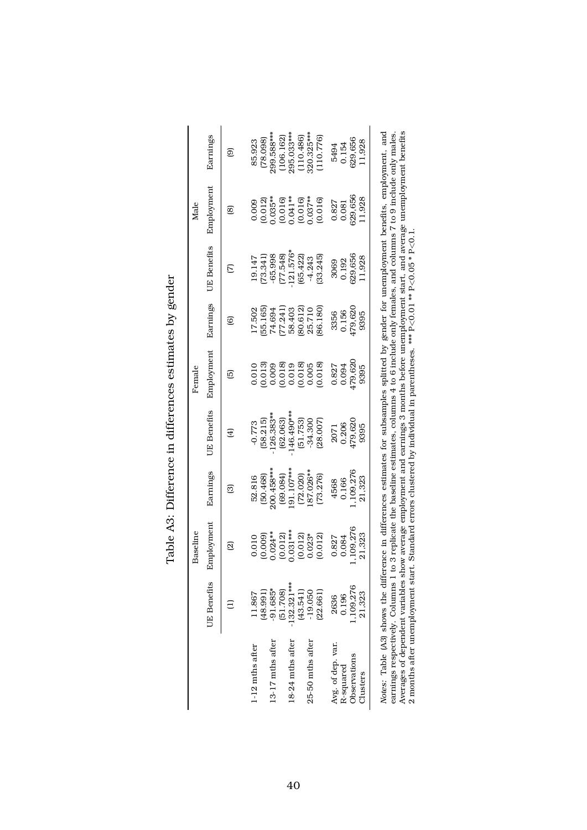|                                                                                                                                                                                                                                                                                                                                                                                                                                                                                         |                           | Baseline              |                           |                        | Female                                                                                             |                   |                         | Male                  |                         |
|-----------------------------------------------------------------------------------------------------------------------------------------------------------------------------------------------------------------------------------------------------------------------------------------------------------------------------------------------------------------------------------------------------------------------------------------------------------------------------------------|---------------------------|-----------------------|---------------------------|------------------------|----------------------------------------------------------------------------------------------------|-------------------|-------------------------|-----------------------|-------------------------|
|                                                                                                                                                                                                                                                                                                                                                                                                                                                                                         | <b>UE</b> Benefits        | Employment            | Earnings                  | <b>UE</b> Benefits     | Employment                                                                                         | Earnings          | <b>UE</b> Benefits      | Employment            | Earnings                |
|                                                                                                                                                                                                                                                                                                                                                                                                                                                                                         |                           | බු                    | ඕ                         | E)                     | 叵                                                                                                  | ම                 | E                       | @                     | මු                      |
| 1-12 mths after                                                                                                                                                                                                                                                                                                                                                                                                                                                                         | (48.991)<br>1.867         | (0.009)<br>0.010      | (50.468)<br>52.816        | 58.215)<br>$-0.773$    | 0.013<br>0.010                                                                                     | 55.165)<br>17.502 | (73.341)<br>19.147      | (0.012)<br>0.009      | (78.098)<br>85.923      |
| 13-17 mths after                                                                                                                                                                                                                                                                                                                                                                                                                                                                        | $-91.685*$                | $0.024**$             | 200.458***                | 126.383**              | 0.009                                                                                              | 74.694            | $-65.998$               | $0.035***$            | 299.588***              |
| 18-24 mths after                                                                                                                                                                                                                                                                                                                                                                                                                                                                        | $-132.321***$<br>(51.708) | $0.031***$<br>(0.012) | $0.91.107***$<br>(69.084) | 146.490***<br>(62.063) | (0.018)<br>0.019                                                                                   | 77.241)<br>58.403 | $-121.576*$<br>(77.548) | $0.041**$<br>(0.016)  | 295.033***<br>(106.162) |
| 25-50 mths after                                                                                                                                                                                                                                                                                                                                                                                                                                                                        | (43.541)<br>$-19.050$     | $0.023*$<br>(0.012)   | .87.026**<br>(72.020)     | (51.753)<br>$-34.300$  | 0.018<br>0.005                                                                                     | 80.612)<br>25.710 | (65.422)<br>$-4.243$    | $0.037***$<br>(0.016) | 320.325***<br>(110.486) |
|                                                                                                                                                                                                                                                                                                                                                                                                                                                                                         | (22.661)                  | (0.012)               | (73.276)                  | (28.007)               | (0.018)                                                                                            | 86.180            | (33.245)                | (0.016)               | (110.776)               |
| Avg. of dep. var.                                                                                                                                                                                                                                                                                                                                                                                                                                                                       | 2636                      | 0.827                 | 4568                      | 2071                   | 0.827                                                                                              | 3356              | 3069                    | 0.827                 | 5494                    |
| Observations<br>R-squared                                                                                                                                                                                                                                                                                                                                                                                                                                                               | 1,109,276<br>0.196        | 109,276<br>0.084      | ,109,276<br>0.166         | 479,620<br>0.206       | 479,620<br>0.094                                                                                   | 479,620<br>0.156  | 629,656<br>0.192        | 629.656<br>0.081      | 629,656<br>0.154        |
| Clusters                                                                                                                                                                                                                                                                                                                                                                                                                                                                                | 21,323                    | 21,323                | 21,323                    | 9395                   | 9395                                                                                               | 9395              | 1,928                   | 1,928                 | 1,928                   |
| Averages of dependent variables show average employment and earnings 3 months before unemployment start, and average unemployment benefits<br>Notes: Table (A3) shows the difference in differences estimates for subsamples splitted by gender for unemployment benefits, employment, and<br>earnings respectively. Columns 1 to 3 replicate the baseline estimates, columns 4 to 6 include only females, and columns 7 to 9 include only males.<br>2 months after unemployment start. |                           |                       |                           |                        | Standard errors clustered by individual in parentheses. *** $P < 0.01$ ** $P < 0.05$ * $P < 0.1$ . |                   |                         |                       |                         |

| י<br> <br>ג<br>.<br>.                                                                                                     |
|---------------------------------------------------------------------------------------------------------------------------|
| Marence estimated in general<br>i<br>.<br>ו                                                                               |
|                                                                                                                           |
| , מי במיפים<br>֧֧֧֧֧֧֧֧֧֧֧֧֧֧֧֧֧֧֧֧֛֪֛֧֛֛֧֛֛֛֧֛֚֚֚֚֚֚֚֚֚֚֚֚֚֚֚֚֚֚֚֚֚֚֚֚֚֚֚֚֚֝֝֓֝֓֝֟֓֝֓֝֓֝֓֝֬֝֬֝֓֝֬֝֬֝֬֝֬֝֬֝֬֝֬֝<br>;<br>; |
|                                                                                                                           |
| í<br>$\mathfrak{g}$                                                                                                       |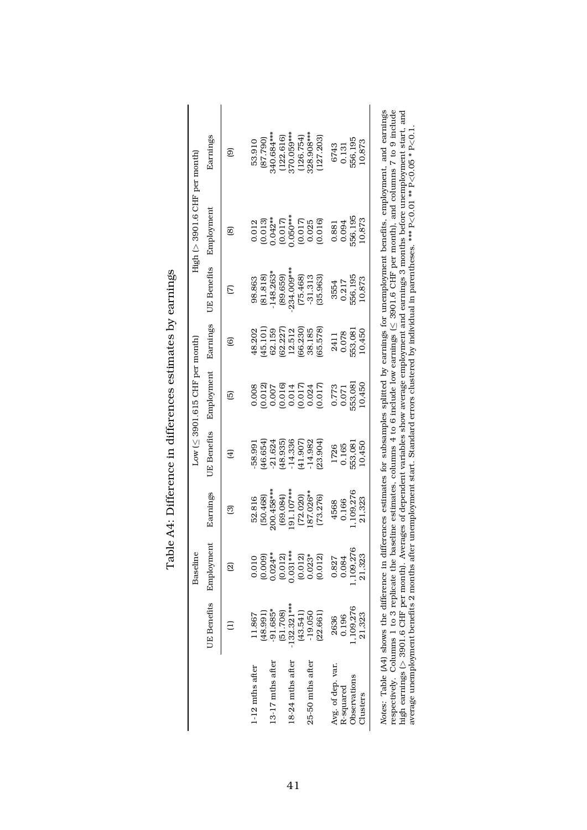|                                                                                                 |                    | Baseline   |              |                    | $Low$ ( $\leq$ 3901.615 CHF per month) |          |                    | $High (> 3901.6$ CHF per month)                                                                        |                                                                                                                                                                                                                                                                                                                                                                                                                                |
|-------------------------------------------------------------------------------------------------|--------------------|------------|--------------|--------------------|----------------------------------------|----------|--------------------|--------------------------------------------------------------------------------------------------------|--------------------------------------------------------------------------------------------------------------------------------------------------------------------------------------------------------------------------------------------------------------------------------------------------------------------------------------------------------------------------------------------------------------------------------|
|                                                                                                 | <b>UE</b> Benefits | Employment | Earnings     | <b>UE</b> Benefits | Employment                             | Earnings | <b>UE</b> Benefits | Employment                                                                                             | Earnings                                                                                                                                                                                                                                                                                                                                                                                                                       |
|                                                                                                 |                    | බු         | බ            | 田                  | 叵                                      | ම        | Σ                  | @                                                                                                      | ම                                                                                                                                                                                                                                                                                                                                                                                                                              |
| 1-12 mths after                                                                                 | (48.991)           | (0.009)    | (50.468)     | 46.654)            | (0.012)                                | (101)    | (81.818)           | (0.013)                                                                                                | (662.78)                                                                                                                                                                                                                                                                                                                                                                                                                       |
|                                                                                                 | 11.867             | 0.010      | 52.816       | 58.991             | 0.008                                  | 48.202   | 98.863             | 0.012                                                                                                  | 53.910                                                                                                                                                                                                                                                                                                                                                                                                                         |
| 13-17 mths after                                                                                | $-91.685*$         | $0.024**$  | 200.458***   | (48.935)           | (0.016)                                | 62.227)  | $-148.263*$        | $0.042**$                                                                                              | 340.684 ***                                                                                                                                                                                                                                                                                                                                                                                                                    |
|                                                                                                 | (51.708)           | (0.012)    | (69.084)     | 21.624             | 0.007                                  | 62.159   | (89.659)           | (0.017)                                                                                                | (122.616)                                                                                                                                                                                                                                                                                                                                                                                                                      |
| 18-24 mths after                                                                                | $-132.321***$      | $0.031***$ | $.91.107***$ | $-14.336$          | 0.017                                  | 66.230)  | 234.009***         | $0.050***$                                                                                             | 370.059***                                                                                                                                                                                                                                                                                                                                                                                                                     |
|                                                                                                 | (43.541)           | (0.012)    | (72.020)     | (41.907)           | 0.014                                  | 12.512   | (75.468)           | (0.017)                                                                                                | (126.754)                                                                                                                                                                                                                                                                                                                                                                                                                      |
| 25-50 mths after                                                                                | $-19.050$          | $0.023*$   | 87.026**     | $-14.982$          | 0.017                                  | 65.578)  | $-31.313$          | (0.016)                                                                                                | 328.908***                                                                                                                                                                                                                                                                                                                                                                                                                     |
|                                                                                                 | (22.661)           | (0.012)    | (73.276)     | (23.904)           | 0.024                                  | 38.185   | (35.963)           | 0.025                                                                                                  | (127.203)                                                                                                                                                                                                                                                                                                                                                                                                                      |
| Avg. of dep. var.                                                                               | 1,109,276          | 1,109,276  | 1,109,276    | 553,081            | 553.081                                | 553,081  | 556.195            | 556.195                                                                                                | 556,195                                                                                                                                                                                                                                                                                                                                                                                                                        |
| Observations                                                                                    | 21,323             | 21,323     | 21,323       | 10,450             | 10,450                                 | 10,450   | 10,873             | 10,873                                                                                                 | 10,873                                                                                                                                                                                                                                                                                                                                                                                                                         |
| R-squared                                                                                       | 0.196              | 0.084      | 0.166        | 0.165              | 0.773                                  | 0.078    | 0.217              | 0.094                                                                                                  | 6743                                                                                                                                                                                                                                                                                                                                                                                                                           |
| Clusters                                                                                        | 2636               | 0.827      | 4568         | 1726               | 0.071                                  | 2411     | 3554               | 0.881                                                                                                  | 0.131                                                                                                                                                                                                                                                                                                                                                                                                                          |
| high earnings $(> 3901.6$ CHF per month). Avera<br>average unemployment benefits 2 months after |                    |            |              |                    |                                        |          |                    | unemployment start. Standard errors clustered by individual in parentheses. *** $P < 0.01$ * $P < 0.1$ | Notes: Table (A4) shows the difference in differences estimates for subsamples splitted by earnings for unemployment benefits, employment, and earnings<br>respectively. Columns 1 to 3 replicate the baseline estimates, columns 4 to 6 include low earnings (< 3901.6 CHP per month), and columns 7 to 9 include<br>ages of dependent variables show average employment and earnings 3 months before unemployment start, and |

| į<br>かんこう こうしょう じょうしょう                                              |
|---------------------------------------------------------------------|
|                                                                     |
| こう うううようきう サーブ クー りつくう<br>)<br>、<br>I<br>$\vdots$                   |
| ֧֧֧ׅ֧֧֧ׅ֧֧֧֛֛֛֛֚֚֚֚֚֚֚֚֚֚֚֚֚֚֚֚֚֚֚֚֚֚֚֚֚֚֝֝֓֜֓֟֓֝֓֝֓֜֓֜֝֓֜<br>)<br> |
| ׇ֦֚֘<br>1<br>Í<br>$\frac{1}{2}$<br>I                                |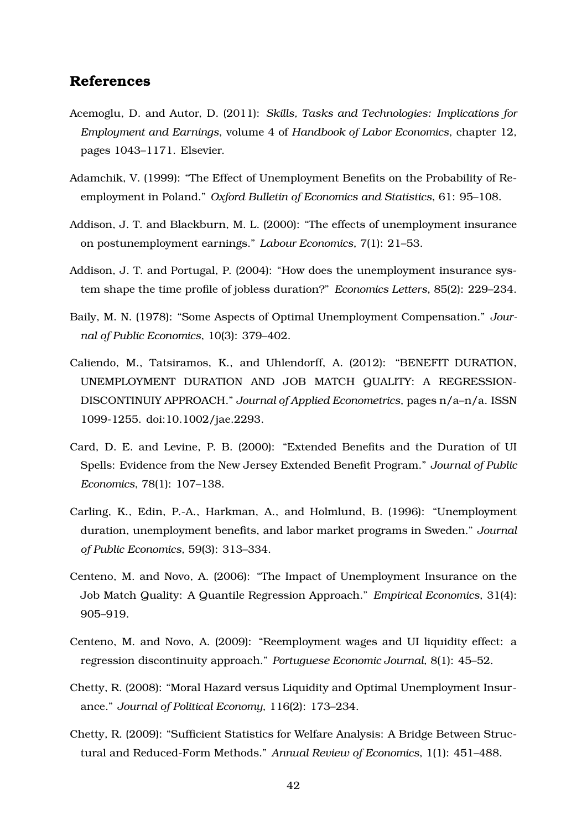# **References**

- Acemoglu, D. and Autor, D. (2011): *Skills, Tasks and Technologies: Implications for Employment and Earnings*, volume 4 of *Handbook of Labor Economics*, chapter 12, pages 1043–1171. Elsevier.
- Adamchik, V. (1999): "The Effect of Unemployment Benefits on the Probability of Reemployment in Poland." *Oxford Bulletin of Economics and Statistics*, 61: 95–108.
- Addison, J. T. and Blackburn, M. L. (2000): "The effects of unemployment insurance on postunemployment earnings." *Labour Economics*, 7(1): 21–53.
- Addison, J. T. and Portugal, P. (2004): "How does the unemployment insurance system shape the time profile of jobless duration?" *Economics Letters*, 85(2): 229–234.
- Baily, M. N. (1978): "Some Aspects of Optimal Unemployment Compensation." *Journal of Public Economics*, 10(3): 379–402.
- Caliendo, M., Tatsiramos, K., and Uhlendorff, A. (2012): "BENEFIT DURATION, UNEMPLOYMENT DURATION AND JOB MATCH QUALITY: A REGRESSION-DISCONTINUIY APPROACH." *Journal of Applied Econometrics*, pages n/a–n/a. ISSN 1099-1255. doi:10.1002/jae.2293.
- Card, D. E. and Levine, P. B. (2000): "Extended Benefits and the Duration of UI Spells: Evidence from the New Jersey Extended Benefit Program." *Journal of Public Economics*, 78(1): 107–138.
- Carling, K., Edin, P.-A., Harkman, A., and Holmlund, B. (1996): "Unemployment duration, unemployment benefits, and labor market programs in Sweden." *Journal of Public Economics*, 59(3): 313–334.
- Centeno, M. and Novo, A. (2006): "The Impact of Unemployment Insurance on the Job Match Quality: A Quantile Regression Approach." *Empirical Economics*, 31(4): 905–919.
- Centeno, M. and Novo, A. (2009): "Reemployment wages and UI liquidity effect: a regression discontinuity approach." *Portuguese Economic Journal*, 8(1): 45–52.
- Chetty, R. (2008): "Moral Hazard versus Liquidity and Optimal Unemployment Insurance." *Journal of Political Economy*, 116(2): 173–234.
- Chetty, R. (2009): "Sufficient Statistics for Welfare Analysis: A Bridge Between Structural and Reduced-Form Methods." *Annual Review of Economics*, 1(1): 451–488.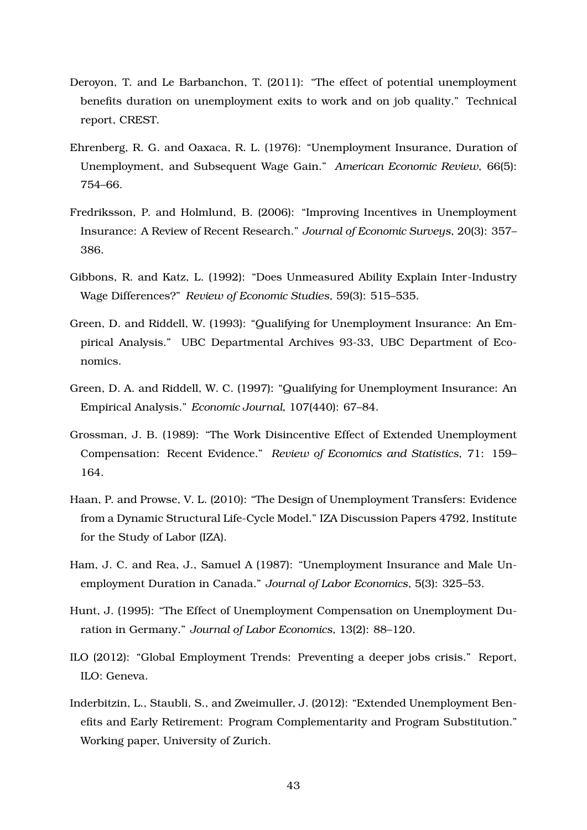- Deroyon, T. and Le Barbanchon, T. (2011): "The effect of potential unemployment benefits duration on unemployment exits to work and on job quality." Technical report, CREST.
- Ehrenberg, R. G. and Oaxaca, R. L. (1976): "Unemployment Insurance, Duration of Unemployment, and Subsequent Wage Gain." *American Economic Review*, 66(5): 754–66.
- Fredriksson, P. and Holmlund, B. (2006): "Improving Incentives in Unemployment Insurance: A Review of Recent Research." *Journal of Economic Surveys*, 20(3): 357– 386.
- Gibbons, R. and Katz, L. (1992): "Does Unmeasured Ability Explain Inter-Industry Wage Differences?" *Review of Economic Studies*, 59(3): 515–535.
- Green, D. and Riddell, W. (1993): "Qualifying for Unemployment Insurance: An Empirical Analysis." UBC Departmental Archives 93-33, UBC Department of Economics.
- Green, D. A. and Riddell, W. C. (1997): "Qualifying for Unemployment Insurance: An Empirical Analysis." *Economic Journal*, 107(440): 67–84.
- Grossman, J. B. (1989): "The Work Disincentive Effect of Extended Unemployment Compensation: Recent Evidence." *Review of Economics and Statistics*, 71: 159– 164.
- Haan, P. and Prowse, V. L. (2010): "The Design of Unemployment Transfers: Evidence from a Dynamic Structural Life-Cycle Model." IZA Discussion Papers 4792, Institute for the Study of Labor (IZA).
- Ham, J. C. and Rea, J., Samuel A (1987): "Unemployment Insurance and Male Unemployment Duration in Canada." *Journal of Labor Economics*, 5(3): 325–53.
- Hunt, J. (1995): "The Effect of Unemployment Compensation on Unemployment Duration in Germany." *Journal of Labor Economics*, 13(2): 88–120.
- ILO (2012): "Global Employment Trends: Preventing a deeper jobs crisis." Report, ILO: Geneva.
- Inderbitzin, L., Staubli, S., and Zweimuller, J. (2012): "Extended Unemployment Benefits and Early Retirement: Program Complementarity and Program Substitution." Working paper, University of Zurich.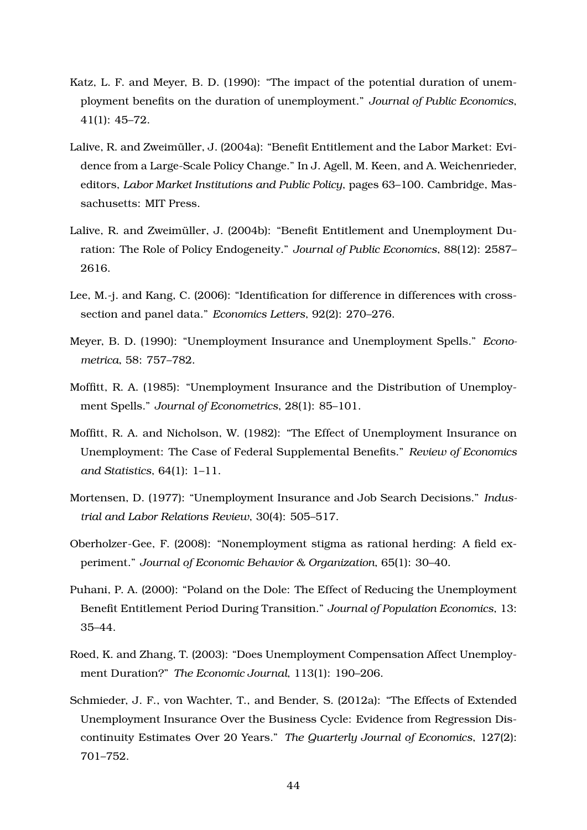- Katz, L. F. and Meyer, B. D. (1990): "The impact of the potential duration of unemployment benefits on the duration of unemployment." *Journal of Public Economics*, 41(1): 45–72.
- Lalive, R. and Zweimüller, J. (2004a): "Benefit Entitlement and the Labor Market: Evidence from a Large-Scale Policy Change." In J. Agell, M. Keen, and A. Weichenrieder, editors, *Labor Market Institutions and Public Policy*, pages 63–100. Cambridge, Massachusetts: MIT Press.
- Lalive, R. and Zweimüller, J. (2004b): "Benefit Entitlement and Unemployment Duration: The Role of Policy Endogeneity." *Journal of Public Economics*, 88(12): 2587– 2616.
- Lee, M.-j. and Kang, C. (2006): "Identification for difference in differences with crosssection and panel data." *Economics Letters*, 92(2): 270–276.
- Meyer, B. D. (1990): "Unemployment Insurance and Unemployment Spells." *Econometrica*, 58: 757–782.
- Moffitt, R. A. (1985): "Unemployment Insurance and the Distribution of Unemployment Spells." *Journal of Econometrics*, 28(1): 85–101.
- Moffitt, R. A. and Nicholson, W. (1982): "The Effect of Unemployment Insurance on Unemployment: The Case of Federal Supplemental Benefits." *Review of Economics and Statistics*, 64(1): 1–11.
- Mortensen, D. (1977): "Unemployment Insurance and Job Search Decisions." *Industrial and Labor Relations Review*, 30(4): 505–517.
- Oberholzer-Gee, F. (2008): "Nonemployment stigma as rational herding: A field experiment." *Journal of Economic Behavior & Organization*, 65(1): 30–40.
- Puhani, P. A. (2000): "Poland on the Dole: The Effect of Reducing the Unemployment Benefit Entitlement Period During Transition." *Journal of Population Economics*, 13: 35–44.
- Roed, K. and Zhang, T. (2003): "Does Unemployment Compensation Affect Unemployment Duration?" *The Economic Journal*, 113(1): 190–206.
- Schmieder, J. F., von Wachter, T., and Bender, S. (2012a): "The Effects of Extended Unemployment Insurance Over the Business Cycle: Evidence from Regression Discontinuity Estimates Over 20 Years." *The Quarterly Journal of Economics*, 127(2): 701–752.